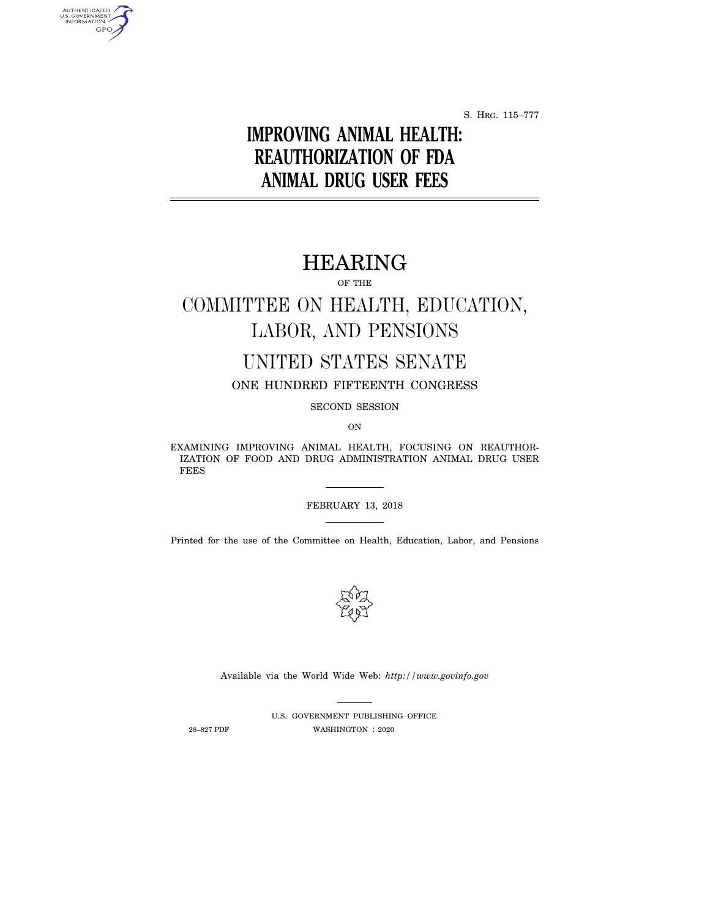S. HRG. 115–777

# **IMPROVING ANIMAL HEALTH: REAUTHORIZATION OF FDA ANIMAL DRUG USER FEES**

## HEARING

OF THE

# COMMITTEE ON HEALTH, EDUCATION, LABOR, AND PENSIONS

## UNITED STATES SENATE

ONE HUNDRED FIFTEENTH CONGRESS

SECOND SESSION

ON

EXAMINING IMPROVING ANIMAL HEALTH, FOCUSING ON REAUTHOR-IZATION OF FOOD AND DRUG ADMINISTRATION ANIMAL DRUG USER FEES

#### FEBRUARY 13, 2018

Printed for the use of the Committee on Health, Education, Labor, and Pensions



Available via the World Wide Web: *http://www.govinfo.gov* 

AUTHENTICATED<br>U.S. GOVERNMENT<br>INFORMATION **GPO** 

> U.S. GOVERNMENT PUBLISHING OFFICE 28–827 PDF WASHINGTON : 2020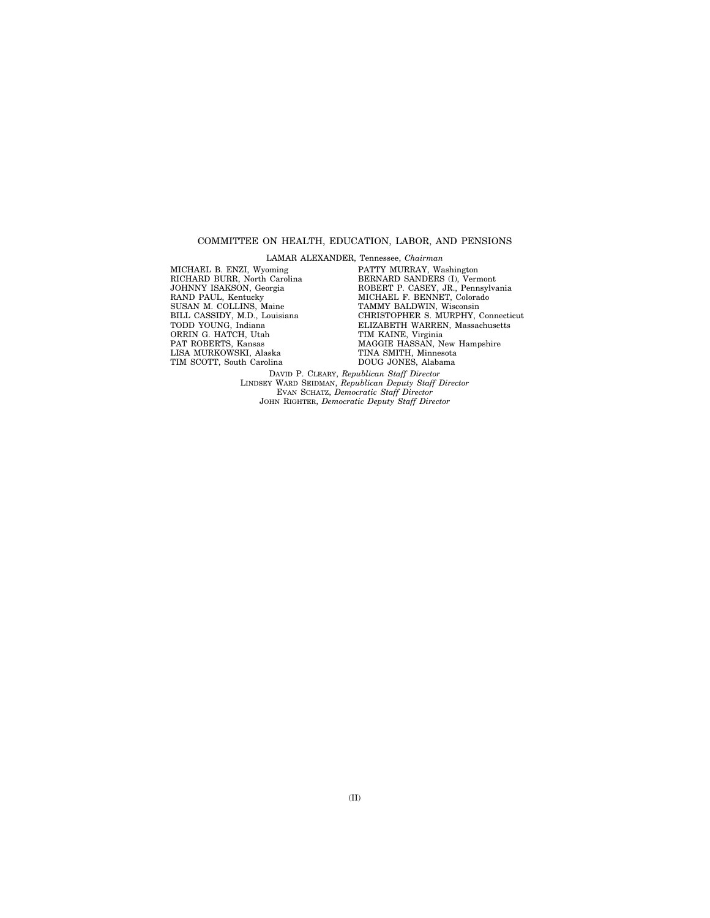#### COMMITTEE ON HEALTH, EDUCATION, LABOR, AND PENSIONS

LAMAR ALEXANDER, Tennessee, *Chairman* 

MICHAEL B. ENZI, Wyoming RICHARD BURR, North Carolina JOHNNY ISAKSON, Georgia RAND PAUL, Kentucky SUSAN M. COLLINS, Maine BILL CASSIDY, M.D., Louisiana TODD YOUNG, Indiana ORRIN G. HATCH, Utah PAT ROBERTS, Kansas LISA MURKOWSKI, Alaska TIM SCOTT, South Carolina

PATTY MURRAY, Washington BERNARD SANDERS (I), Vermont ROBERT P. CASEY, JR., Pennsylvania MICHAEL F. BENNET, Colorado TAMMY BALDWIN, Wisconsin CHRISTOPHER S. MURPHY, Connecticut ELIZABETH WARREN, Massachusetts TIM KAINE, Virginia MAGGIE HASSAN, New Hampshire TINA SMITH, Minnesota DOUG JONES, Alabama

DAVID P. CLEARY, *Republican Staff Director*  LINDSEY WARD SEIDMAN, *Republican Deputy Staff Director*  EVAN SCHATZ, *Democratic Staff Director*  JOHN RIGHTER, *Democratic Deputy Staff Director*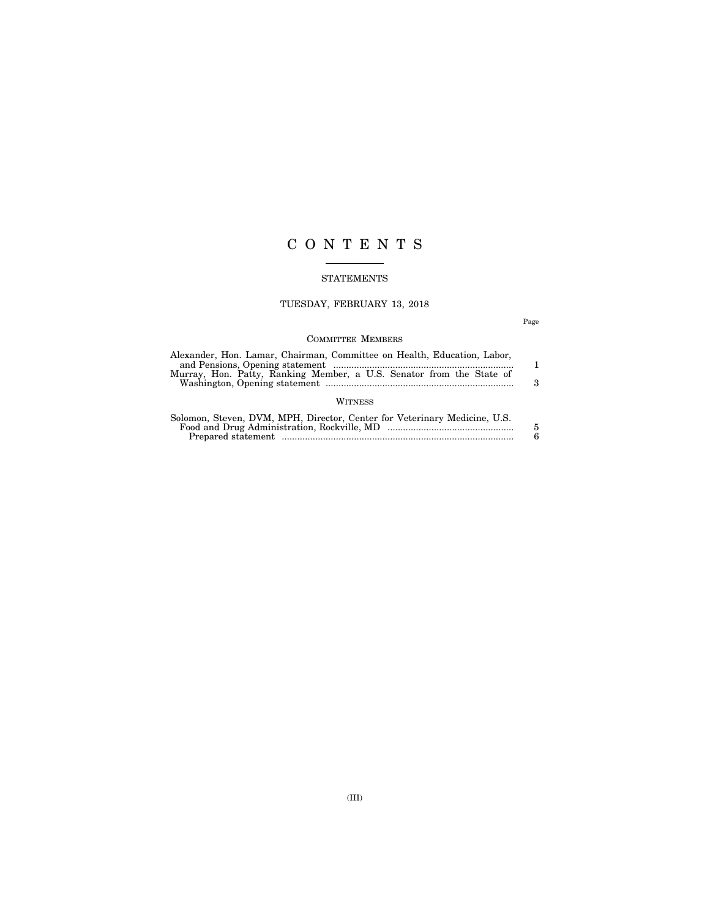## C O N T E N T S

#### STATEMENTS

### TUESDAY, FEBRUARY 13, 2018

Page

#### COMMITTEE MEMBERS

| Alexander, Hon. Lamar, Chairman, Committee on Health, Education, Labor,<br>Murray, Hon. Patty, Ranking Member, a U.S. Senator from the State of | з      |
|-------------------------------------------------------------------------------------------------------------------------------------------------|--------|
| WITNESS                                                                                                                                         |        |
| Solomon, Steven, DVM, MPH, Director, Center for Veterinary Medicine, U.S.                                                                       | 5<br>Р |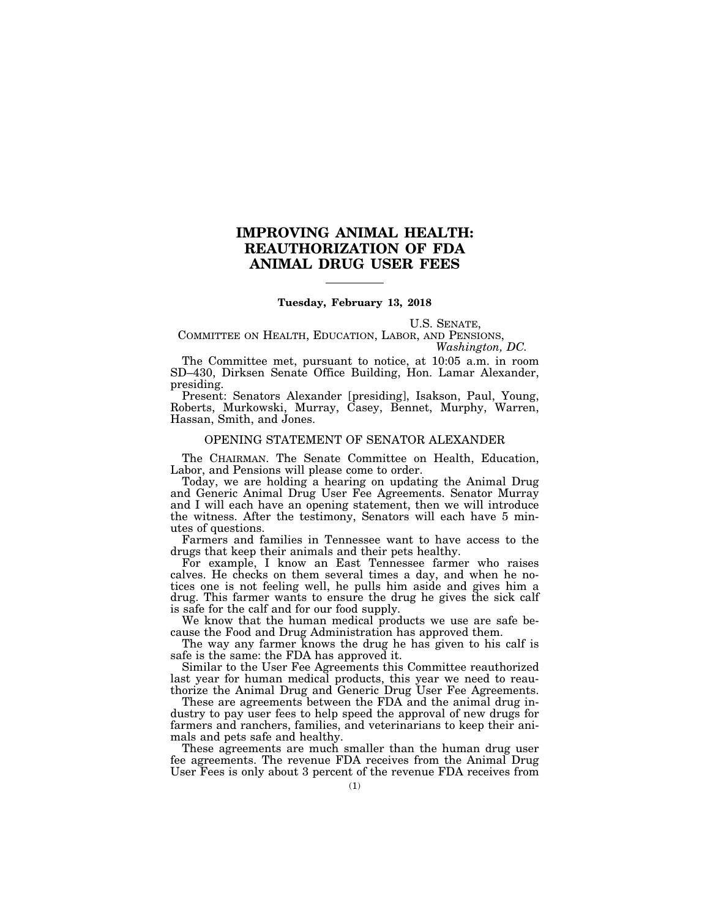### **IMPROVING ANIMAL HEALTH: REAUTHORIZATION OF FDA ANIMAL DRUG USER FEES**

#### **Tuesday, February 13, 2018**

U.S. SENATE,

COMMITTEE ON HEALTH, EDUCATION, LABOR, AND PENSIONS, *Washington, DC.* 

The Committee met, pursuant to notice, at 10:05 a.m. in room SD–430, Dirksen Senate Office Building, Hon. Lamar Alexander, presiding.

Present: Senators Alexander [presiding], Isakson, Paul, Young, Roberts, Murkowski, Murray, Casey, Bennet, Murphy, Warren, Hassan, Smith, and Jones.

#### OPENING STATEMENT OF SENATOR ALEXANDER

The CHAIRMAN. The Senate Committee on Health, Education, Labor, and Pensions will please come to order.

Today, we are holding a hearing on updating the Animal Drug and Generic Animal Drug User Fee Agreements. Senator Murray and I will each have an opening statement, then we will introduce the witness. After the testimony, Senators will each have 5 minutes of questions.

Farmers and families in Tennessee want to have access to the drugs that keep their animals and their pets healthy.

For example, I know an East Tennessee farmer who raises calves. He checks on them several times a day, and when he notices one is not feeling well, he pulls him aside and gives him a drug. This farmer wants to ensure the drug he gives the sick calf is safe for the calf and for our food supply.

We know that the human medical products we use are safe because the Food and Drug Administration has approved them.

The way any farmer knows the drug he has given to his calf is safe is the same: the FDA has approved it.

Similar to the User Fee Agreements this Committee reauthorized last year for human medical products, this year we need to reauthorize the Animal Drug and Generic Drug User Fee Agreements.

These are agreements between the FDA and the animal drug industry to pay user fees to help speed the approval of new drugs for farmers and ranchers, families, and veterinarians to keep their animals and pets safe and healthy.

These agreements are much smaller than the human drug user fee agreements. The revenue FDA receives from the Animal Drug User Fees is only about 3 percent of the revenue FDA receives from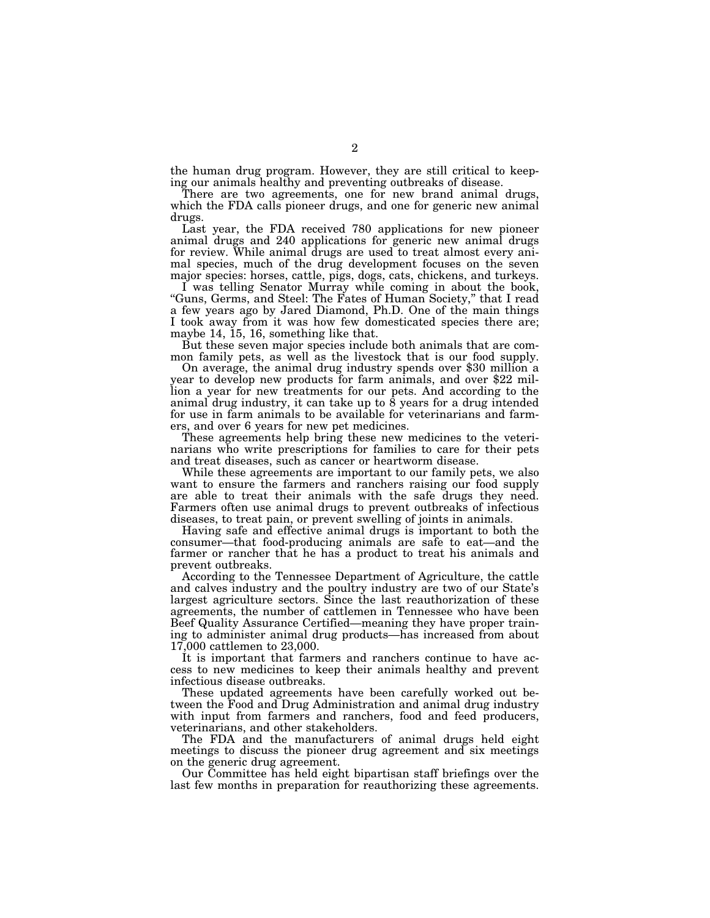the human drug program. However, they are still critical to keeping our animals healthy and preventing outbreaks of disease.

There are two agreements, one for new brand animal drugs, which the FDA calls pioneer drugs, and one for generic new animal drugs.

Last year, the FDA received 780 applications for new pioneer animal drugs and 240 applications for generic new animal drugs for review. While animal drugs are used to treat almost every animal species, much of the drug development focuses on the seven major species: horses, cattle, pigs, dogs, cats, chickens, and turkeys.

I was telling Senator Murray while coming in about the book, "Guns, Germs, and Steel: The Fates of Human Society," that I read a few years ago by Jared Diamond, Ph.D. One of the main things I took away from it was how few domesticated species there are; maybe 14, 15, 16, something like that.

But these seven major species include both animals that are com-

mon family pets, as well as the livestock that is our food supply. On average, the animal drug industry spends over \$30 million a year to develop new products for farm animals, and over \$22 million a year for new treatments for our pets. And according to the animal drug industry, it can take up to 8 years for a drug intended for use in farm animals to be available for veterinarians and farmers, and over 6 years for new pet medicines.

These agreements help bring these new medicines to the veterinarians who write prescriptions for families to care for their pets and treat diseases, such as cancer or heartworm disease.

While these agreements are important to our family pets, we also want to ensure the farmers and ranchers raising our food supply are able to treat their animals with the safe drugs they need. Farmers often use animal drugs to prevent outbreaks of infectious diseases, to treat pain, or prevent swelling of joints in animals.

Having safe and effective animal drugs is important to both the consumer—that food-producing animals are safe to eat—and the farmer or rancher that he has a product to treat his animals and prevent outbreaks.

According to the Tennessee Department of Agriculture, the cattle and calves industry and the poultry industry are two of our State's largest agriculture sectors. Since the last reauthorization of these agreements, the number of cattlemen in Tennessee who have been Beef Quality Assurance Certified—meaning they have proper training to administer animal drug products—has increased from about 17,000 cattlemen to 23,000.

It is important that farmers and ranchers continue to have access to new medicines to keep their animals healthy and prevent infectious disease outbreaks.

These updated agreements have been carefully worked out between the Food and Drug Administration and animal drug industry with input from farmers and ranchers, food and feed producers, veterinarians, and other stakeholders.

The FDA and the manufacturers of animal drugs held eight meetings to discuss the pioneer drug agreement and six meetings on the generic drug agreement.

Our Committee has held eight bipartisan staff briefings over the last few months in preparation for reauthorizing these agreements.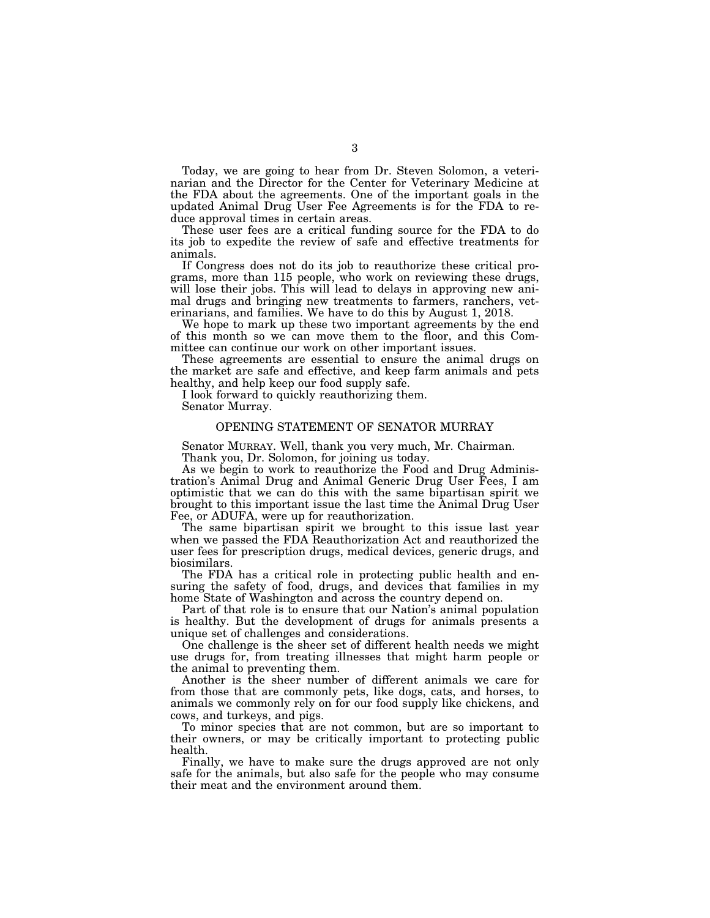Today, we are going to hear from Dr. Steven Solomon, a veterinarian and the Director for the Center for Veterinary Medicine at the FDA about the agreements. One of the important goals in the updated Animal Drug User Fee Agreements is for the FDA to reduce approval times in certain areas.

These user fees are a critical funding source for the FDA to do its job to expedite the review of safe and effective treatments for animals.

If Congress does not do its job to reauthorize these critical programs, more than 115 people, who work on reviewing these drugs, will lose their jobs. This will lead to delays in approving new animal drugs and bringing new treatments to farmers, ranchers, veterinarians, and families. We have to do this by August 1, 2018.

We hope to mark up these two important agreements by the end of this month so we can move them to the floor, and this Committee can continue our work on other important issues.

These agreements are essential to ensure the animal drugs on the market are safe and effective, and keep farm animals and pets healthy, and help keep our food supply safe.

I look forward to quickly reauthorizing them. Senator Murray.

#### OPENING STATEMENT OF SENATOR MURRAY

Senator MURRAY. Well, thank you very much, Mr. Chairman. Thank you, Dr. Solomon, for joining us today.

As we begin to work to reauthorize the Food and Drug Administration's Animal Drug and Animal Generic Drug User Fees, I am optimistic that we can do this with the same bipartisan spirit we brought to this important issue the last time the Animal Drug User Fee, or ADUFA, were up for reauthorization.

The same bipartisan spirit we brought to this issue last year when we passed the FDA Reauthorization Act and reauthorized the user fees for prescription drugs, medical devices, generic drugs, and biosimilars.

The FDA has a critical role in protecting public health and ensuring the safety of food, drugs, and devices that families in my home State of Washington and across the country depend on.

Part of that role is to ensure that our Nation's animal population is healthy. But the development of drugs for animals presents a unique set of challenges and considerations.

One challenge is the sheer set of different health needs we might use drugs for, from treating illnesses that might harm people or the animal to preventing them.

Another is the sheer number of different animals we care for from those that are commonly pets, like dogs, cats, and horses, to animals we commonly rely on for our food supply like chickens, and cows, and turkeys, and pigs.

To minor species that are not common, but are so important to their owners, or may be critically important to protecting public health.

Finally, we have to make sure the drugs approved are not only safe for the animals, but also safe for the people who may consume their meat and the environment around them.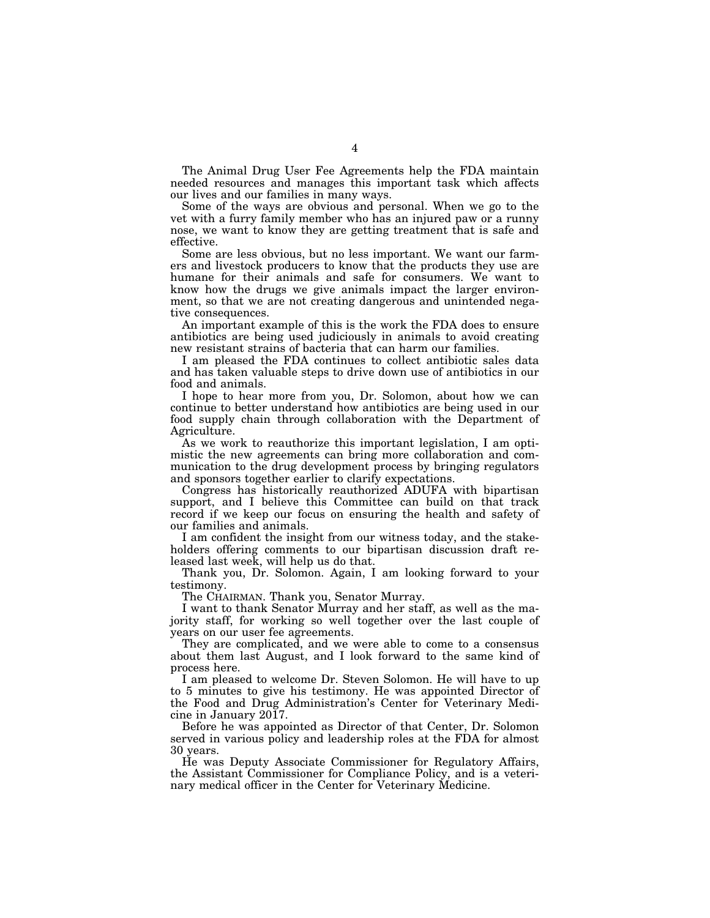The Animal Drug User Fee Agreements help the FDA maintain needed resources and manages this important task which affects our lives and our families in many ways.

Some of the ways are obvious and personal. When we go to the vet with a furry family member who has an injured paw or a runny nose, we want to know they are getting treatment that is safe and effective.

Some are less obvious, but no less important. We want our farmers and livestock producers to know that the products they use are humane for their animals and safe for consumers. We want to know how the drugs we give animals impact the larger environment, so that we are not creating dangerous and unintended negative consequences.

An important example of this is the work the FDA does to ensure antibiotics are being used judiciously in animals to avoid creating new resistant strains of bacteria that can harm our families.

I am pleased the FDA continues to collect antibiotic sales data and has taken valuable steps to drive down use of antibiotics in our food and animals.

I hope to hear more from you, Dr. Solomon, about how we can continue to better understand how antibiotics are being used in our food supply chain through collaboration with the Department of Agriculture.

As we work to reauthorize this important legislation, I am optimistic the new agreements can bring more collaboration and communication to the drug development process by bringing regulators and sponsors together earlier to clarify expectations.

Congress has historically reauthorized ADUFA with bipartisan support, and I believe this Committee can build on that track record if we keep our focus on ensuring the health and safety of our families and animals.

I am confident the insight from our witness today, and the stakeholders offering comments to our bipartisan discussion draft released last week, will help us do that.

Thank you, Dr. Solomon. Again, I am looking forward to your testimony.

The CHAIRMAN. Thank you, Senator Murray.

I want to thank Senator Murray and her staff, as well as the majority staff, for working so well together over the last couple of years on our user fee agreements.

They are complicated, and we were able to come to a consensus about them last August, and I look forward to the same kind of process here.

I am pleased to welcome Dr. Steven Solomon. He will have to up to 5 minutes to give his testimony. He was appointed Director of the Food and Drug Administration's Center for Veterinary Medicine in January 2017.

Before he was appointed as Director of that Center, Dr. Solomon served in various policy and leadership roles at the FDA for almost 30 years.

He was Deputy Associate Commissioner for Regulatory Affairs, the Assistant Commissioner for Compliance Policy, and is a veterinary medical officer in the Center for Veterinary Medicine.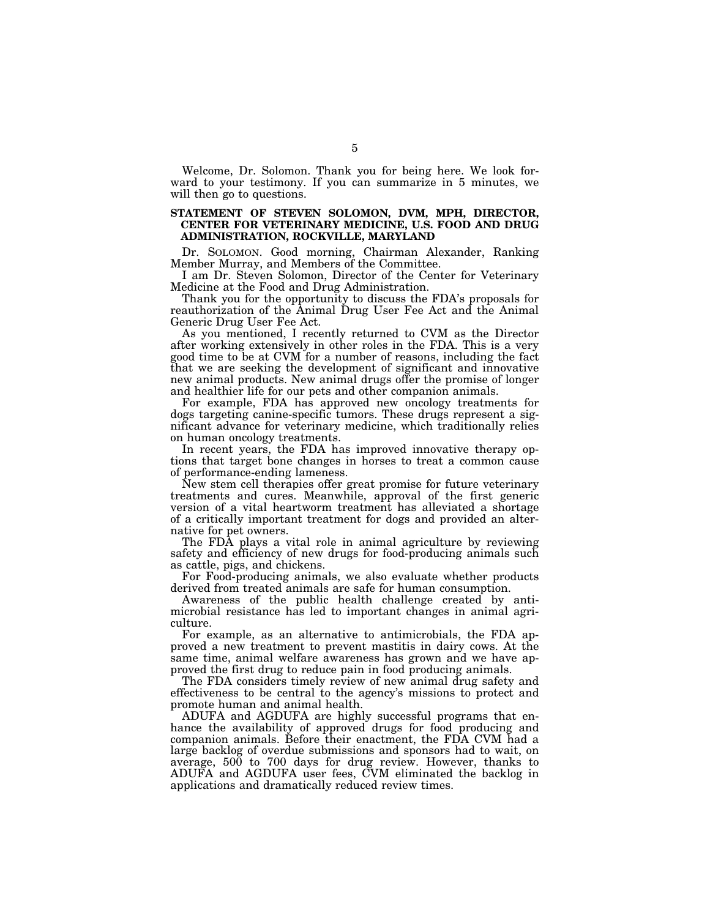Welcome, Dr. Solomon. Thank you for being here. We look forward to your testimony. If you can summarize in 5 minutes, we will then go to questions.

#### **STATEMENT OF STEVEN SOLOMON, DVM, MPH, DIRECTOR, CENTER FOR VETERINARY MEDICINE, U.S. FOOD AND DRUG ADMINISTRATION, ROCKVILLE, MARYLAND**

Dr. SOLOMON. Good morning, Chairman Alexander, Ranking Member Murray, and Members of the Committee.

I am Dr. Steven Solomon, Director of the Center for Veterinary Medicine at the Food and Drug Administration.

Thank you for the opportunity to discuss the FDA's proposals for reauthorization of the Animal Drug User Fee Act and the Animal Generic Drug User Fee Act.

As you mentioned, I recently returned to CVM as the Director after working extensively in other roles in the FDA. This is a very good time to be at CVM for a number of reasons, including the fact that we are seeking the development of significant and innovative new animal products. New animal drugs offer the promise of longer and healthier life for our pets and other companion animals.

For example, FDA has approved new oncology treatments for dogs targeting canine-specific tumors. These drugs represent a significant advance for veterinary medicine, which traditionally relies on human oncology treatments.

In recent years, the FDA has improved innovative therapy options that target bone changes in horses to treat a common cause of performance-ending lameness.

New stem cell therapies offer great promise for future veterinary treatments and cures. Meanwhile, approval of the first generic version of a vital heartworm treatment has alleviated a shortage of a critically important treatment for dogs and provided an alternative for pet owners.

The FDA plays a vital role in animal agriculture by reviewing safety and efficiency of new drugs for food-producing animals such as cattle, pigs, and chickens.

For Food-producing animals, we also evaluate whether products derived from treated animals are safe for human consumption.

Awareness of the public health challenge created by antimicrobial resistance has led to important changes in animal agriculture.

For example, as an alternative to antimicrobials, the FDA approved a new treatment to prevent mastitis in dairy cows. At the same time, animal welfare awareness has grown and we have approved the first drug to reduce pain in food producing animals.

The FDA considers timely review of new animal drug safety and effectiveness to be central to the agency's missions to protect and promote human and animal health.

ADUFA and AGDUFA are highly successful programs that enhance the availability of approved drugs for food producing and companion animals. Before their enactment, the FDA CVM had a large backlog of overdue submissions and sponsors had to wait, on average, 500 to 700 days for drug review. However, thanks to ADUFA and AGDUFA user fees, CVM eliminated the backlog in applications and dramatically reduced review times.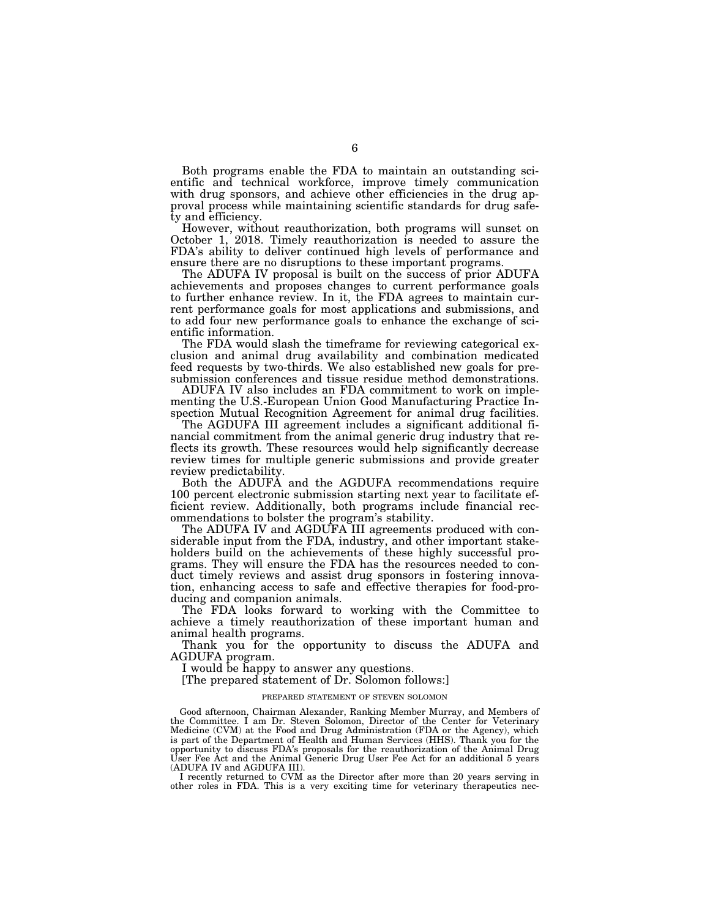Both programs enable the FDA to maintain an outstanding scientific and technical workforce, improve timely communication with drug sponsors, and achieve other efficiencies in the drug approval process while maintaining scientific standards for drug safety and efficiency.

However, without reauthorization, both programs will sunset on October 1, 2018. Timely reauthorization is needed to assure the FDA's ability to deliver continued high levels of performance and ensure there are no disruptions to these important programs.

The ADUFA IV proposal is built on the success of prior ADUFA achievements and proposes changes to current performance goals to further enhance review. In it, the FDA agrees to maintain current performance goals for most applications and submissions, and to add four new performance goals to enhance the exchange of scientific information.

The FDA would slash the timeframe for reviewing categorical exclusion and animal drug availability and combination medicated feed requests by two-thirds. We also established new goals for presubmission conferences and tissue residue method demonstrations.

ADUFA IV also includes an FDA commitment to work on implementing the U.S.-European Union Good Manufacturing Practice Inspection Mutual Recognition Agreement for animal drug facilities.

The AGDUFA III agreement includes a significant additional financial commitment from the animal generic drug industry that reflects its growth. These resources would help significantly decrease review times for multiple generic submissions and provide greater review predictability.

Both the ADUFA and the AGDUFA recommendations require 100 percent electronic submission starting next year to facilitate efficient review. Additionally, both programs include financial recommendations to bolster the program's stability.

The ADUFA IV and AGDUFA III agreements produced with considerable input from the FDA, industry, and other important stakeholders build on the achievements of these highly successful programs. They will ensure the FDA has the resources needed to conduct timely reviews and assist drug sponsors in fostering innovation, enhancing access to safe and effective therapies for food-producing and companion animals.

The FDA looks forward to working with the Committee to achieve a timely reauthorization of these important human and animal health programs.

Thank you for the opportunity to discuss the ADUFA and AGDUFA program.

I would be happy to answer any questions.

[The prepared statement of Dr. Solomon follows:]

#### PREPARED STATEMENT OF STEVEN SOLOMON

Good afternoon, Chairman Alexander, Ranking Member Murray, and Members of the Committee. I am Dr. Steven Solomon, Director of the Center for Veterinary Medicine (CVM) at the Food and Drug Administration (FDA or the Agency), which is part of the Department of Health and Human Services (HHS). Thank you for the opportunity to discuss FDA's proposals for the reauthorization of the Animal Drug User Fee Act and the Animal Generic Drug User Fee Act for an additional 5 years (ADUFA IV and AGDUFA III).

I recently returned to CVM as the Director after more than 20 years serving in other roles in FDA. This is a very exciting time for veterinary therapeutics nec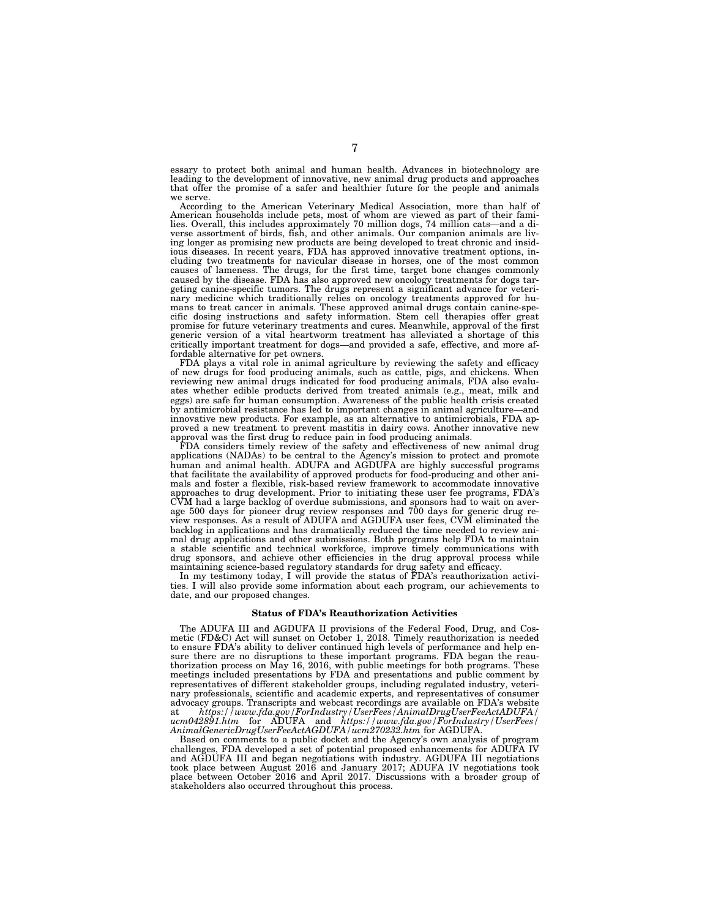essary to protect both animal and human health. Advances in biotechnology are leading to the development of innovative, new animal drug products and approaches that offer the promise of a safer and healthier future for the people and animals

According to the American Veterinary Medical Association, more than half of American households include pets, most of whom are viewed as part of their fami-lies. Overall, this includes approximately 70 million dogs, 74 million cats—and a diverse assortment of birds, fish, and other animals. Our companion animals are living longer as promising new products are being developed to treat chronic and insidious diseases. In recent years, FDA has approved innovative treatment options, including two treatments for navicular disease in horses, one of the most common causes of lameness. The drugs, for the first time, target bone changes commonly caused by the disease. FDA has also approved new oncology treatments for dogs targeting canine-specific tumors. The drugs represent a significant advance for veterinary medicine which traditionally relies on oncology treatments approved for humans to treat cancer in animals. These approved animal drugs contain canine-specific dosing instructions and safety information. Stem cell therapies offer great promise for future veterinary treatments and cures. Meanwhile, approval of the first generic version of a vital heartworm treatment has alleviated a shortage of this critically important treatment for dogs—and provided a safe, effective, and more affordable alternative for pet owners.

FDA plays a vital role in animal agriculture by reviewing the safety and efficacy of new drugs for food producing animals, such as cattle, pigs, and chickens. When reviewing new animal drugs indicated for food producing animals, FDA also evaluates whether edible products derived from treated animals (e.g., meat, milk and eggs) are safe for human consumption. Awareness of the public health crisis created by antimicrobial resistance has led to important changes in animal agriculture—and innovative new products. For example, as an alternative to antimicrobials, FDA approved a new treatment to prevent mastitis in dairy cows. Another innovative new approval was the first drug to reduce pain in food producing animals.

FDA considers timely review of the safety and effectiveness of new animal drug applications (NADAs) to be central to the Agency's mission to protect and promote human and animal health. ADUFA and AGDUFA are highly successful programs that facilitate the availability of approved products for food-producing and other animals and foster a flexible, risk-based review framework to accommodate innovative approaches to drug development. Prior to initiating these user fee programs, FDA's CVM had a large backlog of overdue submissions, and sponsors had to wait on average 500 days for pioneer drug review responses and 700 days for generic drug review responses. As a result of ADUFA and AGDUFA user fees, CVM eliminated the backlog in applications and has dramatically reduced the time needed to review animal drug applications and other submissions. Both programs help FDA to maintain a stable scientific and technical workforce, improve timely communications with drug sponsors, and achieve other efficiencies in the drug approval process while maintaining science-based regulatory standards for drug safety and efficacy.

In my testimony today, I will provide the status of FDA's reauthorization activities. I will also provide some information about each program, our achievements to date, and our proposed changes.

#### **Status of FDA's Reauthorization Activities**

The ADUFA III and AGDUFA II provisions of the Federal Food, Drug, and Cosmetic (FD&C) Act will sunset on October 1, 2018. Timely reauthorization is needed to ensure FDA's ability to deliver continued high levels of performance and help ensure there are no disruptions to these important programs. FDA began the reauthorization process on May 16, 2016, with public meetings for both programs. These meetings included presentations by FDA and presentations and public comment by representatives of different stakeholder groups, including regulated industry, veterinary professionals, scientific and academic experts, and representatives of consumer advocacy groups. Transcripts and webcast recordings are available on FDA's website at *https://www.fda.gov/ForIndustry/UserFees/AnimalDrugUserFeeActADUFA/ ucm042891.htm* for ADUFA and *https://www.fda.gov/ForIndustry/UserFees/ AnimalGenericDrugUserFeeActAGDUFA/ucm270232.htm* for AGDUFA.

Based on comments to a public docket and the Agency's own analysis of program challenges, FDA developed a set of potential proposed enhancements for ADUFA IV and AGDUFA III and began negotiations with industry. AGDUFA III negotiations took place between August 2016 and January 2017; ADUFA IV negotiations took place between October 2016 and April 2017. Discussions with a broader group of stakeholders also occurred throughout this process.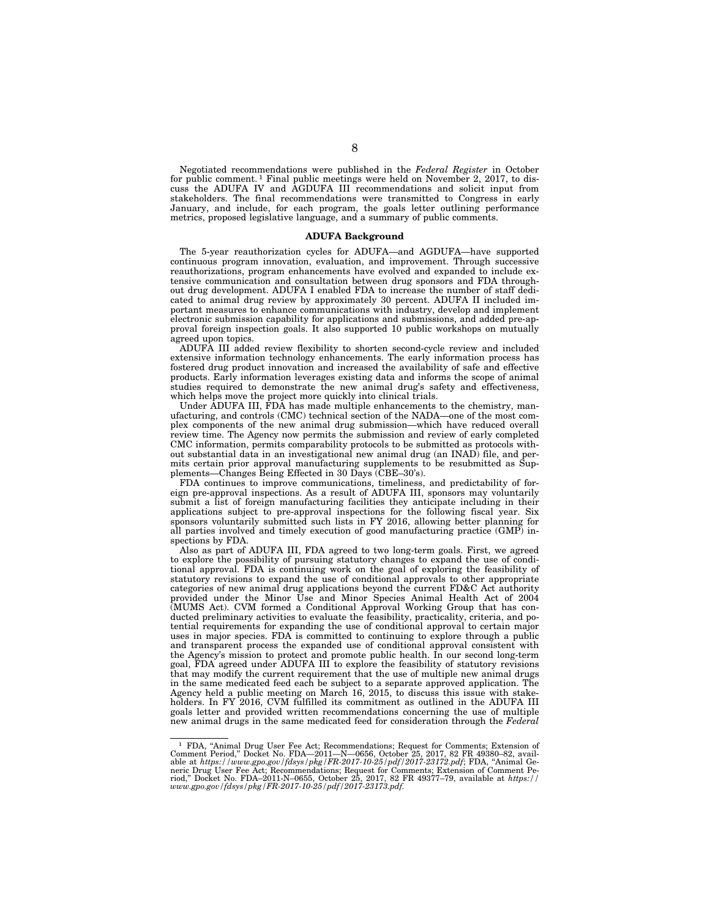Negotiated recommendations were published in the *Federal Register* in October for public comment. 1 Final public meetings were held on November 2, 2017, to discuss the ADUFA IV and AGDUFA III recommendations and solicit input from stakeholders. The final recommendations were transmitted to Congress in early January, and include, for each program, the goals letter outlining performance metrics, proposed legislative language, and a summary of public comments.

#### **ADUFA Background**

The 5-year reauthorization cycles for ADUFA—and AGDUFA—have supported continuous program innovation, evaluation, and improvement. Through successive reauthorizations, program enhancements have evolved and expanded to include extensive communication and consultation between drug sponsors and FDA throughout drug development. ADUFA I enabled FDA to increase the number of staff dedicated to animal drug review by approximately 30 percent. ADUFA II included important measures to enhance communications with industry, develop and implement electronic submission capability for applications and submissions, and added pre-approval foreign inspection goals. It also supported 10 public workshops on mutually agreed upon topics.

ADUFA III added review flexibility to shorten second-cycle review and included extensive information technology enhancements. The early information process has fostered drug product innovation and increased the availability of safe and effective products. Early information leverages existing data and informs the scope of animal studies required to demonstrate the new animal drug's safety and effectiveness, which helps move the project more quickly into clinical trials.

Under ADUFA III, FDA has made multiple enhancements to the chemistry, manufacturing, and controls (CMC) technical section of the NADA—one of the most complex components of the new animal drug submission—which have reduced overall review time. The Agency now permits the submission and review of early completed CMC information, permits comparability protocols to be submitted as protocols without substantial data in an investigational new animal drug (an INAD) file, and permits certain prior approval manufacturing supplements to be resubmitted as Supplements—Changes Being Effected in 30 Days (CBE–30's).

FDA continues to improve communications, timeliness, and predictability of foreign pre-approval inspections. As a result of ADUFA III, sponsors may voluntarily submit a list of foreign manufacturing facilities they anticipate including in their applications subject to pre-approval inspections for the following fiscal year. Six sponsors voluntarily submitted such lists in FY 2016, allowing better planning for all parties involved and timely execution of good manufacturing practice (GMP) inspections by FDA.

Also as part of ADUFA III, FDA agreed to two long-term goals. First, we agreed to explore the possibility of pursuing statutory changes to expand the use of conditional approval. FDA is continuing work on the goal of exploring the feasibility of statutory revisions to expand the use of conditional approvals to other appropriate categories of new animal drug applications beyond the current FD&C Act authority provided under the Minor Use and Minor Species Animal Health Act of 2004 (MUMS Act). CVM formed a Conditional Approval Working Group that has conducted preliminary activities to evaluate the feasibility, practicality, criteria, and potential requirements for expanding the use of conditional approval to certain major uses in major species. FDA is committed to continuing to explore through a public and transparent process the expanded use of conditional approval consistent with the Agency's mission to protect and promote public health. In our second long-term goal, FDA agreed under ADUFA III to explore the feasibility of statutory revisions that may modify the current requirement that the use of multiple new animal drugs in the same medicated feed each be subject to a separate approved application. The Agency held a public meeting on March 16, 2015, to discuss this issue with stakeholders. In FY 2016, CVM fulfilled its commitment as outlined in the ADUFA III goals letter and provided written recommendations concerning the use of multiple new animal drugs in the same medicated feed for consideration through the *Federal* 

<sup>&</sup>lt;sup>1</sup> FDA, "Animal Drug User Fee Act; Recommendations; Request for Comments; Extension of Comment Period," Docket No. FDA—2011—N—0656, October 25, 2017, 82 FR 49380–82, available at https://www.gpo.gov/fdsys/pkg/FR-2017-10-25/pdf/2017-23172.pdf; FDA, "Animal Generic Drug User Fee Act; Recommendations; Request f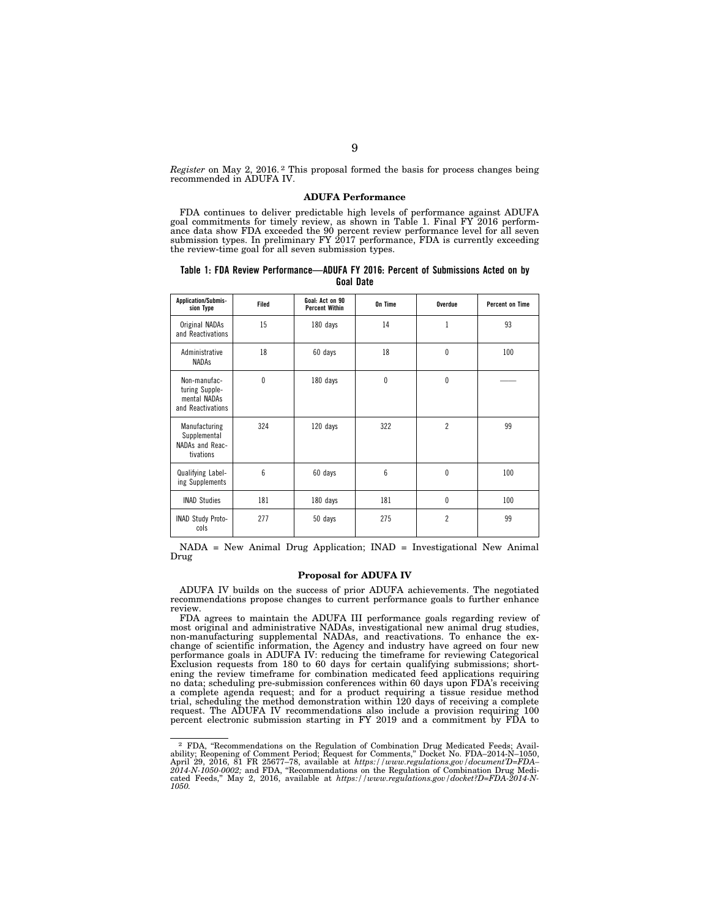*Register* on May 2, 2016. 2 This proposal formed the basis for process changes being recommended in ADUFA IV.

#### **ADUFA Performance**

FDA continues to deliver predictable high levels of performance against ADUFA goal commitments for timely review, as shown in Table 1. Final FY 2016 performance data show FDA exceeded the 90 percent review performance level for all seven submission types. In preliminary FY 2017 performance, FDA is currently exceeding the review-time goal for all seven submission types.

#### **Table 1: FDA Review Performance—ADUFA FY 2016: Percent of Submissions Acted on by Goal Date**

| <b>Application/Submis-</b><br>sion Type                             | Filed    | Goal: Act on 90<br><b>Percent Within</b> | On Time | Overdue        | <b>Percent on Time</b> |
|---------------------------------------------------------------------|----------|------------------------------------------|---------|----------------|------------------------|
| Original NADAs<br>and Reactivations                                 | 15       | 180 days                                 | 14      | 1              | 93                     |
| Administrative<br><b>NADAs</b>                                      | 18       | 60 days                                  | 18      | $\theta$       | 100                    |
| Non-manufac-<br>turing Supple-<br>mental NADAs<br>and Reactivations | $\theta$ | 180 days                                 | 0       | $\theta$       |                        |
| Manufacturing<br>Supplemental<br>NADAs and Reac-<br>tivations       | 324      | 120 days                                 | 322     | $\overline{2}$ | 99                     |
| Qualifying Label-<br>ing Supplements                                | 6        | 60 days                                  | 6       | $\theta$       | 100                    |
| <b>INAD Studies</b>                                                 | 181      | 180 days                                 | 181     | 0              | 100                    |
| <b>INAD Study Proto-</b><br>cols                                    | 277      | 50 days                                  | 275     | $\overline{c}$ | 99                     |

NADA = New Animal Drug Application; INAD = Investigational New Animal Drug

#### **Proposal for ADUFA IV**

ADUFA IV builds on the success of prior ADUFA achievements. The negotiated recommendations propose changes to current performance goals to further enhance review.

FDA agrees to maintain the ADUFA III performance goals regarding review of most original and administrative NADAs, investigational new animal drug studies, non-manufacturing supplemental NADAs, and reactivations. To enhance the exchange of scientific information, the Agency and industry have agreed on four new performance goals in ADUFA IV: reducing the timeframe for reviewing Categorical Exclusion requests from 180 to 60 days for certain qualifying submissions; shortening the review timeframe for combination medicated feed applications requiring no data; scheduling pre-submission conferences within 60 days upon FDA's receiving a complete agenda request; and for a product requiring a tissue residue method trial, scheduling the method demonstration within 120 days of receiving a complete request. The ADUFA IV recommendations also include a provision requiring 100 percent electronic submission starting in FY 2019 and a commitment by FDA to

<sup>&</sup>lt;sup>2</sup> FDA, "Recommendations on the Regulation of Combination Drug Medicated Feeds; Availability; Reopening of Comment Period; Request for Comments," Docket No. FDA–2014-N–1050,<br>April 29, 2016, 81 FR 25677–78, available at *https://www.regulations.gov/document'D=FDA*–<br>2014-N-1050-0002; and FDA, "Recommendation cated Feeds,'' May 2, 2016, available at *https://www.regulations.gov/docket?D=FDA-2014-N-1050.*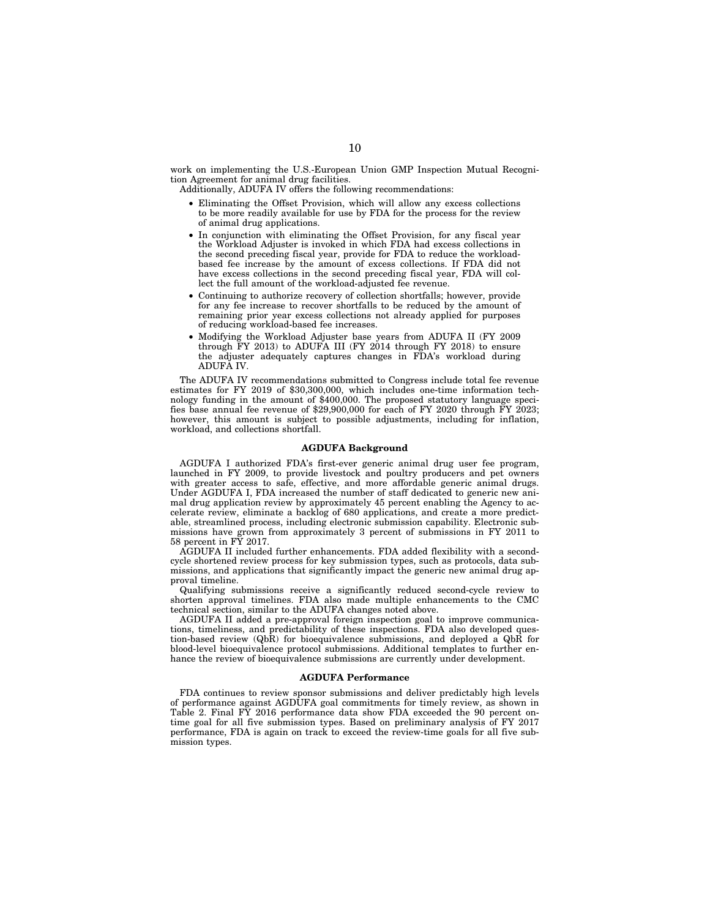work on implementing the U.S.-European Union GMP Inspection Mutual Recognition Agreement for animal drug facilities.

Additionally, ADUFA IV offers the following recommendations:

- Eliminating the Offset Provision, which will allow any excess collections to be more readily available for use by FDA for the process for the review of animal drug applications.
- In conjunction with eliminating the Offset Provision, for any fiscal year the Workload Adjuster is invoked in which FDA had excess collections in the second preceding fiscal year, provide for FDA to reduce the workloadbased fee increase by the amount of excess collections. If FDA did not have excess collections in the second preceding fiscal year, FDA will collect the full amount of the workload-adjusted fee revenue.
- Continuing to authorize recovery of collection shortfalls; however, provide for any fee increase to recover shortfalls to be reduced by the amount of remaining prior year excess collections not already applied for purposes of reducing workload-based fee increases.
- Modifying the Workload Adjuster base years from ADUFA II (FY 2009 through  $\overline{FY}$  2013) to ADUFA III ( $\overline{FY}$  2014 through  $\overline{FY}$  2018) to ensure the adjuster adequately captures changes in FDA's workload during ADUFA IV.

The ADUFA IV recommendations submitted to Congress include total fee revenue estimates for FY 2019 of \$30,300,000, which includes one-time information technology funding in the amount of \$400,000. The proposed statutory language specifies base annual fee revenue of \$29,900,000 for each of FY 2020 through FY 2023; however, this amount is subject to possible adjustments, including for inflation, workload, and collections shortfall.

#### **AGDUFA Background**

AGDUFA I authorized FDA's first-ever generic animal drug user fee program, launched in FY 2009, to provide livestock and poultry producers and pet owners with greater access to safe, effective, and more affordable generic animal drugs. Under AGDUFA I, FDA increased the number of staff dedicated to generic new animal drug application review by approximately 45 percent enabling the Agency to accelerate review, eliminate a backlog of 680 applications, and create a more predictable, streamlined process, including electronic submission capability. Electronic submissions have grown from approximately 3 percent of submissions in FY 2011 to 58 percent in FY 2017.

AGDUFA II included further enhancements. FDA added flexibility with a secondcycle shortened review process for key submission types, such as protocols, data submissions, and applications that significantly impact the generic new animal drug approval timeline.

Qualifying submissions receive a significantly reduced second-cycle review to shorten approval timelines. FDA also made multiple enhancements to the CMC technical section, similar to the ADUFA changes noted above.

AGDUFA II added a pre-approval foreign inspection goal to improve communications, timeliness, and predictability of these inspections. FDA also developed question-based review (QbR) for bioequivalence submissions, and deployed a QbR for blood-level bioequivalence protocol submissions. Additional templates to further enhance the review of bioequivalence submissions are currently under development.

#### **AGDUFA Performance**

FDA continues to review sponsor submissions and deliver predictably high levels of performance against AGDUFA goal commitments for timely review, as shown in Table 2. Final FY 2016 performance data show FDA exceeded the 90 percent ontime goal for all five submission types. Based on preliminary analysis of FY 2017 performance, FDA is again on track to exceed the review-time goals for all five submission types.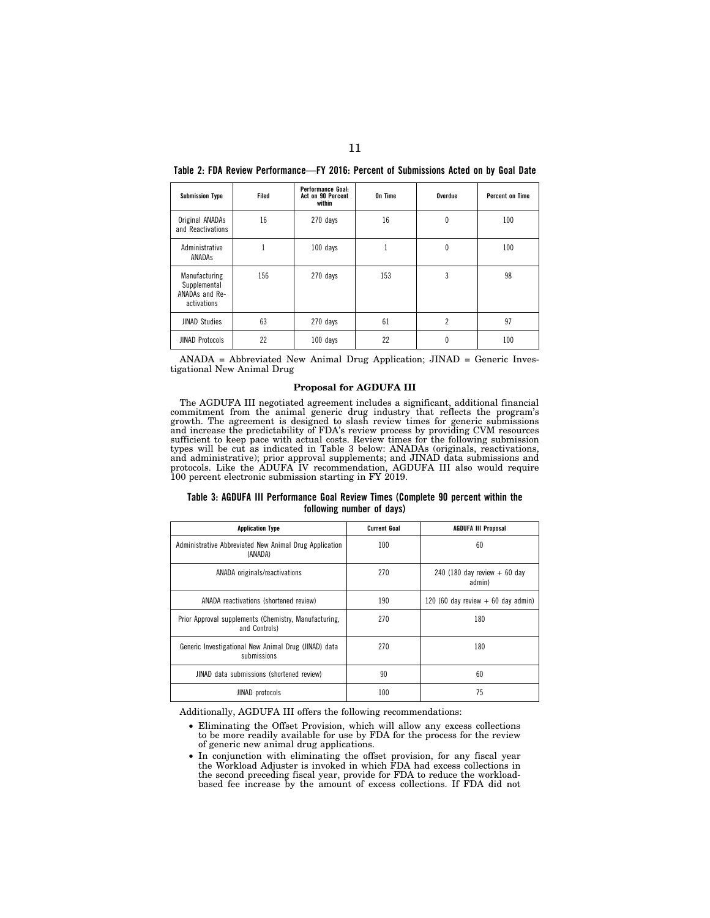| <b>Submission Type</b>                                         | Filed | Performance Goal:<br>Act on 90 Percent<br>within | On Time | Overdue        | <b>Percent on Time</b> |
|----------------------------------------------------------------|-------|--------------------------------------------------|---------|----------------|------------------------|
| Original ANADAs<br>and Reactivations                           | 16    | 270 days                                         | 16      | 0              | 100                    |
| Administrative<br>ANADAS                                       |       | 100 days                                         |         | 0              | 100                    |
| Manufacturing<br>Supplemental<br>ANADAs and Re-<br>activations | 156   | 270 days                                         | 153     | 3              | 98                     |
| <b>JINAD Studies</b>                                           | 63    | 270 days                                         | 61      | $\overline{c}$ | 97                     |
| <b>JINAD Protocols</b>                                         | 22    | 100 days                                         | 22      | 0              | 100                    |

**Table 2: FDA Review Performance—FY 2016: Percent of Submissions Acted on by Goal Date** 

ANADA = Abbreviated New Animal Drug Application; JINAD = Generic Investigational New Animal Drug

#### **Proposal for AGDUFA III**

The AGDUFA III negotiated agreement includes a significant, additional financial commitment from the animal generic drug industry that reflects the program's growth. The agreement is designed to slash review times for generic submissions and increase the predictability of FDA's review process by providing CVM resources sufficient to keep pace with actual costs. Review times for the following submission types will be cut as indicated in Table 3 below: ANADAs (originals, reactivations, and administrative); prior approval supplements; and JINAD data submissions and protocols. Like the ADUFA IV recommendation, AGDUFA III also would require 100 percent electronic submission starting in FY 2019.

**Table 3: AGDUFA III Performance Goal Review Times (Complete 90 percent within the following number of days)** 

| <b>Application Type</b>                                                | <b>Current Goal</b> | <b>AGDUFA III Proposal</b>              |
|------------------------------------------------------------------------|---------------------|-----------------------------------------|
| Administrative Abbreviated New Animal Drug Application<br>(ANADA)      | 100                 | 60                                      |
| ANADA originals/reactivations                                          | 270                 | 240 (180 day review $+60$ day<br>admin) |
| ANADA reactivations (shortened review)                                 | 190                 | 120 (60 day review $+$ 60 day admin)    |
| Prior Approval supplements (Chemistry, Manufacturing,<br>and Controls) | 270                 | 180                                     |
| Generic Investigational New Animal Drug (JINAD) data<br>submissions    | 270                 | 180                                     |
| JINAD data submissions (shortened review)                              | 90                  | 60                                      |
| JINAD protocols                                                        | 100                 | 75                                      |

Additionally, AGDUFA III offers the following recommendations:

- Eliminating the Offset Provision, which will allow any excess collections to be more readily available for use by FDA for the process for the review of generic new animal drug applications.
- In conjunction with eliminating the offset provision, for any fiscal year the Workload Adjuster is invoked in which FDA had excess collections in the second preceding fiscal year, provide for FDA to reduce the workloadbased fee increase by the amount of excess collections. If FDA did not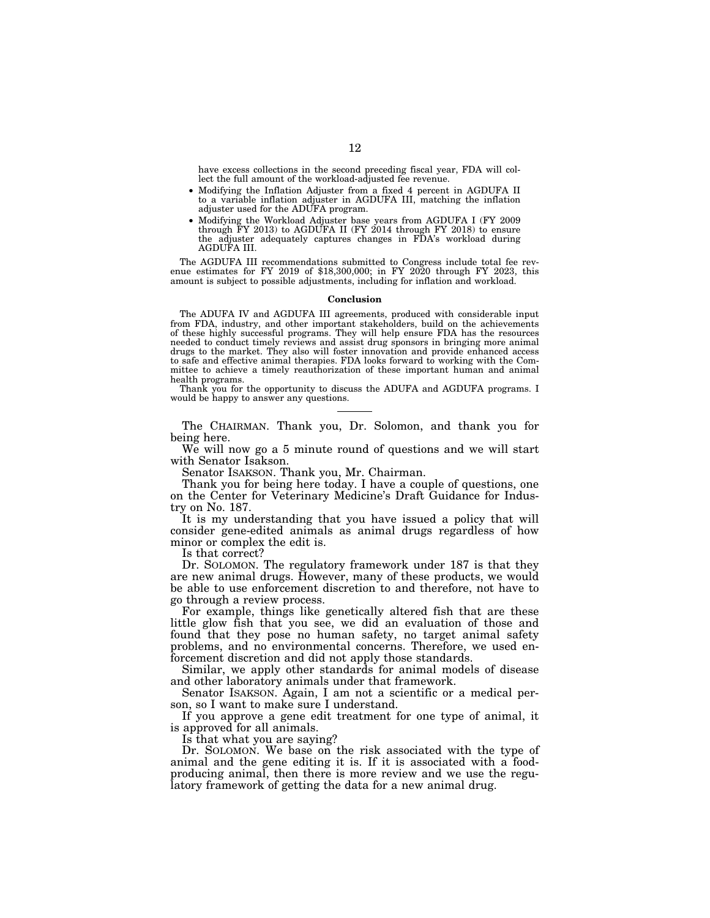have excess collections in the second preceding fiscal year, FDA will collect the full amount of the workload-adjusted fee revenue.

- Modifying the Inflation Adjuster from a fixed 4 percent in AGDUFA II to a variable inflation adjuster in AGDUFA III, matching the inflation adjuster used for the ADUFA program.
- Modifying the Workload Adjuster base years from AGDUFA I (FY 2009 through FY 2013) to AGDUFA II (FY 2014 through FY 2018) to ensure the adjuster adequately captures changes in FDA's workload during AGDUFA III.

The AGDUFA III recommendations submitted to Congress include total fee revenue estimates for FY 2019 of \$18,300,000; in FY 2020 through FY 2023, this amount is subject to possible adjustments, including for inflation and workload.

#### **Conclusion**

The ADUFA IV and AGDUFA III agreements, produced with considerable input from FDA, industry, and other important stakeholders, build on the achievements of these highly successful programs. They will help ensure FDA has the resources needed to conduct timely reviews and assist drug sponsors in bringing more animal drugs to the market. They also will foster innovation and provide enhanced access to safe and effective animal therapies. FDA looks forward to working with the Committee to achieve a timely reauthorization of these important human and animal health programs.

Thank you for the opportunity to discuss the ADUFA and AGDUFA programs. I would be happy to answer any questions.

The CHAIRMAN. Thank you, Dr. Solomon, and thank you for being here.

We will now go a 5 minute round of questions and we will start with Senator Isakson.

Senator ISAKSON. Thank you, Mr. Chairman.

Thank you for being here today. I have a couple of questions, one on the Center for Veterinary Medicine's Draft Guidance for Industry on No. 187.

It is my understanding that you have issued a policy that will consider gene-edited animals as animal drugs regardless of how minor or complex the edit is.

Is that correct?

Dr. SOLOMON. The regulatory framework under 187 is that they are new animal drugs. However, many of these products, we would be able to use enforcement discretion to and therefore, not have to go through a review process.

For example, things like genetically altered fish that are these little glow fish that you see, we did an evaluation of those and found that they pose no human safety, no target animal safety problems, and no environmental concerns. Therefore, we used enforcement discretion and did not apply those standards.

Similar, we apply other standards for animal models of disease and other laboratory animals under that framework.

Senator ISAKSON. Again, I am not a scientific or a medical person, so I want to make sure I understand.

If you approve a gene edit treatment for one type of animal, it is approved for all animals.

Is that what you are saying?

Dr. SOLOMON. We base on the risk associated with the type of animal and the gene editing it is. If it is associated with a foodproducing animal, then there is more review and we use the regulatory framework of getting the data for a new animal drug.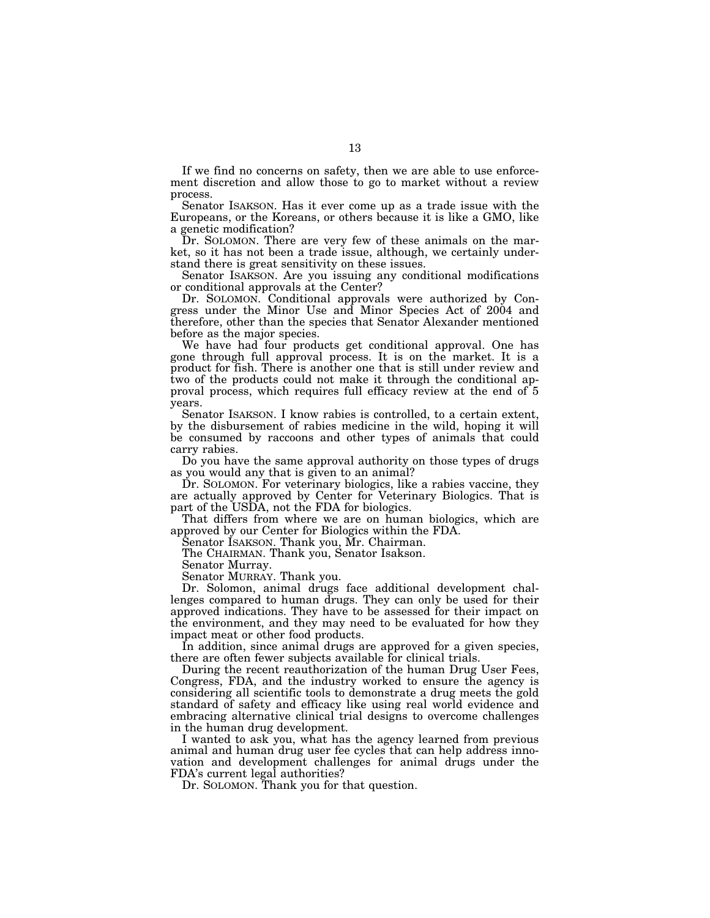If we find no concerns on safety, then we are able to use enforcement discretion and allow those to go to market without a review process.

Senator ISAKSON. Has it ever come up as a trade issue with the Europeans, or the Koreans, or others because it is like a GMO, like a genetic modification?

Dr. SOLOMON. There are very few of these animals on the market, so it has not been a trade issue, although, we certainly understand there is great sensitivity on these issues.

Senator ISAKSON. Are you issuing any conditional modifications or conditional approvals at the Center?

Dr. SOLOMON. Conditional approvals were authorized by Congress under the Minor Use and Minor Species Act of 2004 and therefore, other than the species that Senator Alexander mentioned before as the major species.

We have had four products get conditional approval. One has gone through full approval process. It is on the market. It is a product for fish. There is another one that is still under review and two of the products could not make it through the conditional approval process, which requires full efficacy review at the end of 5 years.

Senator ISAKSON. I know rabies is controlled, to a certain extent, by the disbursement of rabies medicine in the wild, hoping it will be consumed by raccoons and other types of animals that could carry rabies.

Do you have the same approval authority on those types of drugs as you would any that is given to an animal?

Dr. SOLOMON. For veterinary biologics, like a rabies vaccine, they are actually approved by Center for Veterinary Biologics. That is part of the USDA, not the FDA for biologics.

That differs from where we are on human biologics, which are approved by our Center for Biologics within the FDA.

Senator ISAKSON. Thank you, Mr. Chairman.

The CHAIRMAN. Thank you, Senator Isakson.

Senator Murray.

Senator MURRAY. Thank you.

Dr. Solomon, animal drugs face additional development challenges compared to human drugs. They can only be used for their approved indications. They have to be assessed for their impact on the environment, and they may need to be evaluated for how they impact meat or other food products.

In addition, since animal drugs are approved for a given species, there are often fewer subjects available for clinical trials.

During the recent reauthorization of the human Drug User Fees, Congress, FDA, and the industry worked to ensure the agency is considering all scientific tools to demonstrate a drug meets the gold standard of safety and efficacy like using real world evidence and embracing alternative clinical trial designs to overcome challenges in the human drug development.

I wanted to ask you, what has the agency learned from previous animal and human drug user fee cycles that can help address innovation and development challenges for animal drugs under the FDA's current legal authorities?

Dr. SOLOMON. Thank you for that question.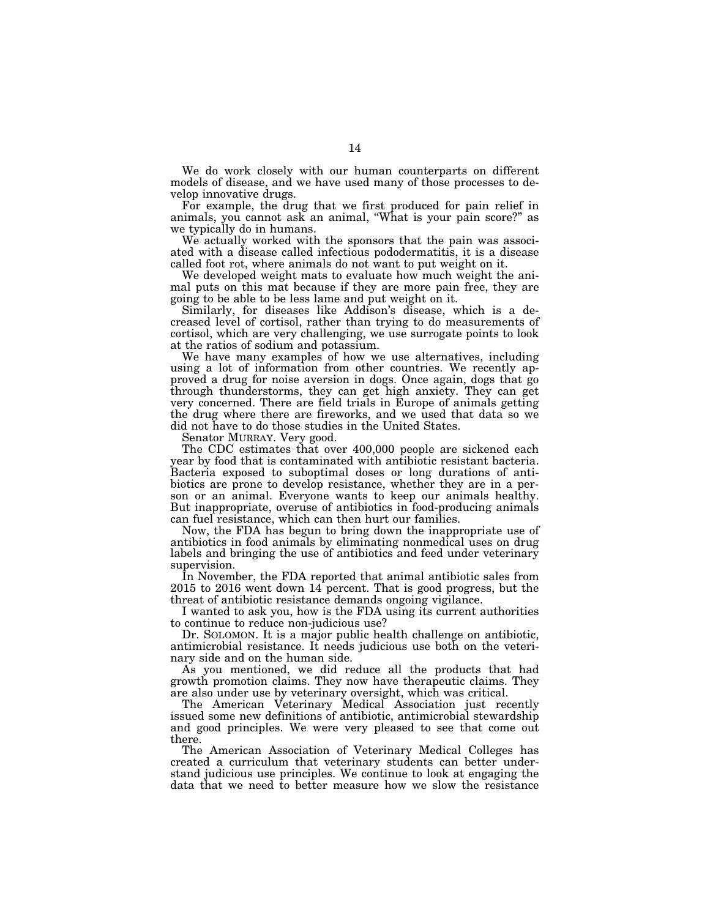We do work closely with our human counterparts on different models of disease, and we have used many of those processes to develop innovative drugs.

For example, the drug that we first produced for pain relief in animals, you cannot ask an animal, ''What is your pain score?'' as we typically do in humans.

We actually worked with the sponsors that the pain was associated with a disease called infectious pododermatitis, it is a disease called foot rot, where animals do not want to put weight on it.

We developed weight mats to evaluate how much weight the animal puts on this mat because if they are more pain free, they are going to be able to be less lame and put weight on it.

Similarly, for diseases like Addison's disease, which is a decreased level of cortisol, rather than trying to do measurements of cortisol, which are very challenging, we use surrogate points to look at the ratios of sodium and potassium.

We have many examples of how we use alternatives, including using a lot of information from other countries. We recently approved a drug for noise aversion in dogs. Once again, dogs that go through thunderstorms, they can get high anxiety. They can get very concerned. There are field trials in Europe of animals getting the drug where there are fireworks, and we used that data so we did not have to do those studies in the United States.

Senator MURRAY. Very good.

The CDC estimates that over 400,000 people are sickened each year by food that is contaminated with antibiotic resistant bacteria. Bacteria exposed to suboptimal doses or long durations of antibiotics are prone to develop resistance, whether they are in a person or an animal. Everyone wants to keep our animals healthy. But inappropriate, overuse of antibiotics in food-producing animals can fuel resistance, which can then hurt our families.

Now, the FDA has begun to bring down the inappropriate use of antibiotics in food animals by eliminating nonmedical uses on drug labels and bringing the use of antibiotics and feed under veterinary supervision.

In November, the FDA reported that animal antibiotic sales from 2015 to 2016 went down 14 percent. That is good progress, but the threat of antibiotic resistance demands ongoing vigilance.

I wanted to ask you, how is the FDA using its current authorities to continue to reduce non-judicious use?

Dr. SOLOMON. It is a major public health challenge on antibiotic, antimicrobial resistance. It needs judicious use both on the veterinary side and on the human side.

As you mentioned, we did reduce all the products that had growth promotion claims. They now have therapeutic claims. They are also under use by veterinary oversight, which was critical.

The American Veterinary Medical Association just recently issued some new definitions of antibiotic, antimicrobial stewardship and good principles. We were very pleased to see that come out there.

The American Association of Veterinary Medical Colleges has created a curriculum that veterinary students can better understand judicious use principles. We continue to look at engaging the data that we need to better measure how we slow the resistance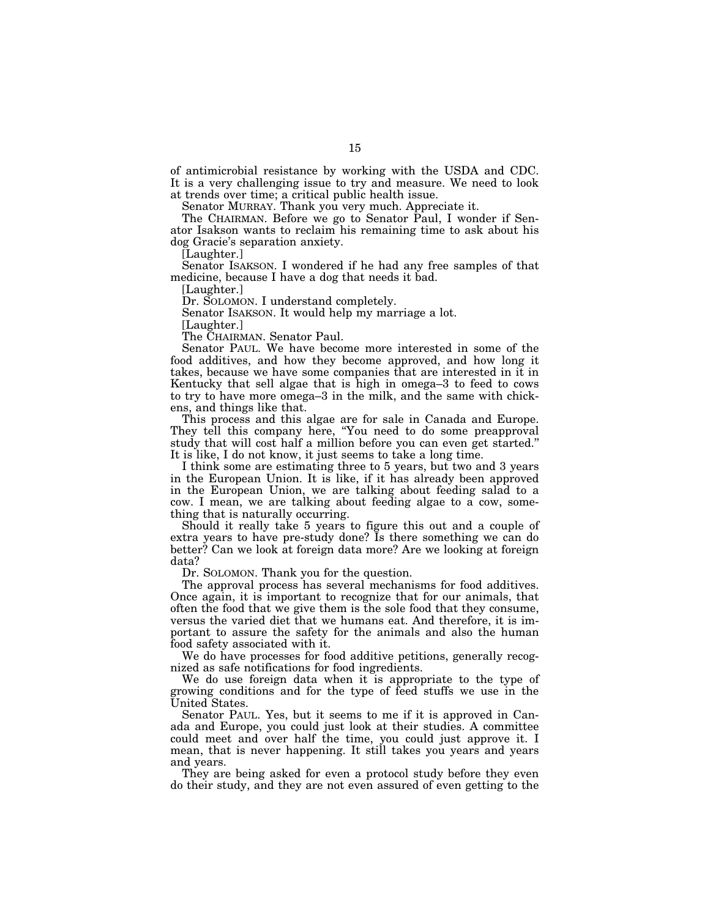of antimicrobial resistance by working with the USDA and CDC. It is a very challenging issue to try and measure. We need to look at trends over time; a critical public health issue.

Senator MURRAY. Thank you very much. Appreciate it.

The CHAIRMAN. Before we go to Senator Paul, I wonder if Senator Isakson wants to reclaim his remaining time to ask about his dog Gracie's separation anxiety.

[Laughter.]

Senator ISAKSON. I wondered if he had any free samples of that medicine, because I have a dog that needs it bad.

[Laughter.]

Dr. SOLOMON. I understand completely.

Senator ISAKSON. It would help my marriage a lot.

[Laughter.]

The CHAIRMAN. Senator Paul.

Senator PAUL. We have become more interested in some of the food additives, and how they become approved, and how long it takes, because we have some companies that are interested in it in Kentucky that sell algae that is high in omega–3 to feed to cows to try to have more omega–3 in the milk, and the same with chickens, and things like that.

This process and this algae are for sale in Canada and Europe. They tell this company here, "You need to do some preapproval" study that will cost half a million before you can even get started.'' It is like, I do not know, it just seems to take a long time.

I think some are estimating three to 5 years, but two and 3 years in the European Union. It is like, if it has already been approved in the European Union, we are talking about feeding salad to a cow. I mean, we are talking about feeding algae to a cow, something that is naturally occurring.

Should it really take 5 years to figure this out and a couple of extra years to have pre-study done? Is there something we can do better? Can we look at foreign data more? Are we looking at foreign data?

Dr. SOLOMON. Thank you for the question.

The approval process has several mechanisms for food additives. Once again, it is important to recognize that for our animals, that often the food that we give them is the sole food that they consume, versus the varied diet that we humans eat. And therefore, it is important to assure the safety for the animals and also the human food safety associated with it.

We do have processes for food additive petitions, generally recognized as safe notifications for food ingredients.

We do use foreign data when it is appropriate to the type of growing conditions and for the type of feed stuffs we use in the United States.

Senator PAUL. Yes, but it seems to me if it is approved in Canada and Europe, you could just look at their studies. A committee could meet and over half the time, you could just approve it. I mean, that is never happening. It still takes you years and years and years.

They are being asked for even a protocol study before they even do their study, and they are not even assured of even getting to the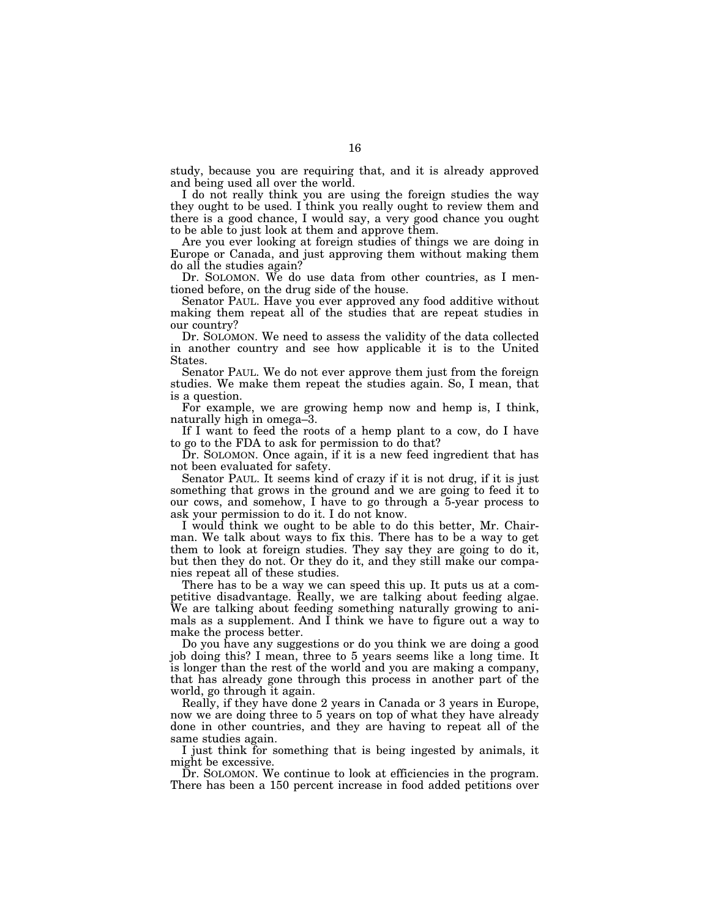study, because you are requiring that, and it is already approved and being used all over the world.

I do not really think you are using the foreign studies the way they ought to be used. I think you really ought to review them and there is a good chance, I would say, a very good chance you ought to be able to just look at them and approve them.

Are you ever looking at foreign studies of things we are doing in Europe or Canada, and just approving them without making them do all the studies again?

Dr. SOLOMON. We do use data from other countries, as I mentioned before, on the drug side of the house.

Senator PAUL. Have you ever approved any food additive without making them repeat all of the studies that are repeat studies in our country?

Dr. SOLOMON. We need to assess the validity of the data collected in another country and see how applicable it is to the United States.

Senator PAUL. We do not ever approve them just from the foreign studies. We make them repeat the studies again. So, I mean, that is a question.

For example, we are growing hemp now and hemp is, I think, naturally high in omega–3.

If I want to feed the roots of a hemp plant to a cow, do I have to go to the FDA to ask for permission to do that?

Dr. SOLOMON. Once again, if it is a new feed ingredient that has not been evaluated for safety.

Senator PAUL. It seems kind of crazy if it is not drug, if it is just something that grows in the ground and we are going to feed it to our cows, and somehow, I have to go through a 5-year process to ask your permission to do it. I do not know.

I would think we ought to be able to do this better, Mr. Chairman. We talk about ways to fix this. There has to be a way to get them to look at foreign studies. They say they are going to do it, but then they do not. Or they do it, and they still make our companies repeat all of these studies.

There has to be a way we can speed this up. It puts us at a competitive disadvantage. Really, we are talking about feeding algae. We are talking about feeding something naturally growing to animals as a supplement. And I think we have to figure out a way to make the process better.

Do you have any suggestions or do you think we are doing a good job doing this? I mean, three to 5 years seems like a long time. It is longer than the rest of the world and you are making a company, that has already gone through this process in another part of the world, go through it again.

Really, if they have done 2 years in Canada or 3 years in Europe, now we are doing three to 5 years on top of what they have already done in other countries, and they are having to repeat all of the same studies again.

I just think for something that is being ingested by animals, it might be excessive.

Dr. SOLOMON. We continue to look at efficiencies in the program. There has been a 150 percent increase in food added petitions over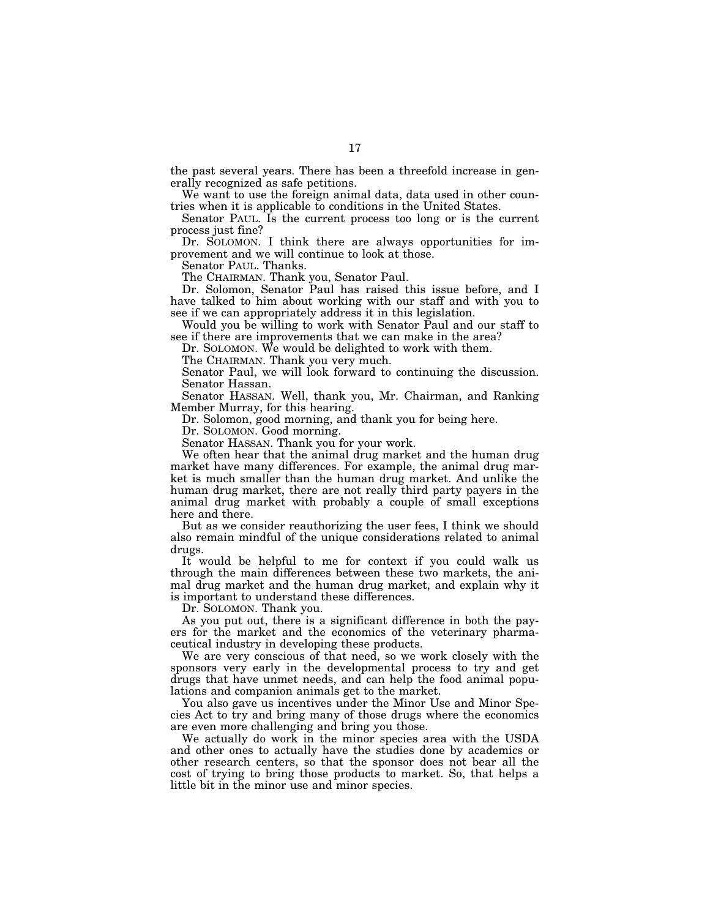the past several years. There has been a threefold increase in generally recognized as safe petitions.

We want to use the foreign animal data, data used in other countries when it is applicable to conditions in the United States.

Senator PAUL. Is the current process too long or is the current process just fine?

Dr. SOLOMON. I think there are always opportunities for improvement and we will continue to look at those.

Senator PAUL. Thanks.

The CHAIRMAN. Thank you, Senator Paul.

Dr. Solomon, Senator Paul has raised this issue before, and I have talked to him about working with our staff and with you to see if we can appropriately address it in this legislation.

Would you be willing to work with Senator Paul and our staff to see if there are improvements that we can make in the area?

Dr. SOLOMON. We would be delighted to work with them.

The CHAIRMAN. Thank you very much.

Senator Paul, we will look forward to continuing the discussion. Senator Hassan.

Senator HASSAN. Well, thank you, Mr. Chairman, and Ranking Member Murray, for this hearing.

Dr. Solomon, good morning, and thank you for being here.

Dr. SOLOMON. Good morning.

Senator HASSAN. Thank you for your work.

We often hear that the animal drug market and the human drug market have many differences. For example, the animal drug market is much smaller than the human drug market. And unlike the human drug market, there are not really third party payers in the animal drug market with probably a couple of small exceptions here and there.

But as we consider reauthorizing the user fees, I think we should also remain mindful of the unique considerations related to animal drugs.

It would be helpful to me for context if you could walk us through the main differences between these two markets, the animal drug market and the human drug market, and explain why it is important to understand these differences.

Dr. SOLOMON. Thank you.

As you put out, there is a significant difference in both the payers for the market and the economics of the veterinary pharmaceutical industry in developing these products.

We are very conscious of that need, so we work closely with the sponsors very early in the developmental process to try and get drugs that have unmet needs, and can help the food animal populations and companion animals get to the market.

You also gave us incentives under the Minor Use and Minor Species Act to try and bring many of those drugs where the economics are even more challenging and bring you those.

We actually do work in the minor species area with the USDA and other ones to actually have the studies done by academics or other research centers, so that the sponsor does not bear all the cost of trying to bring those products to market. So, that helps a little bit in the minor use and minor species.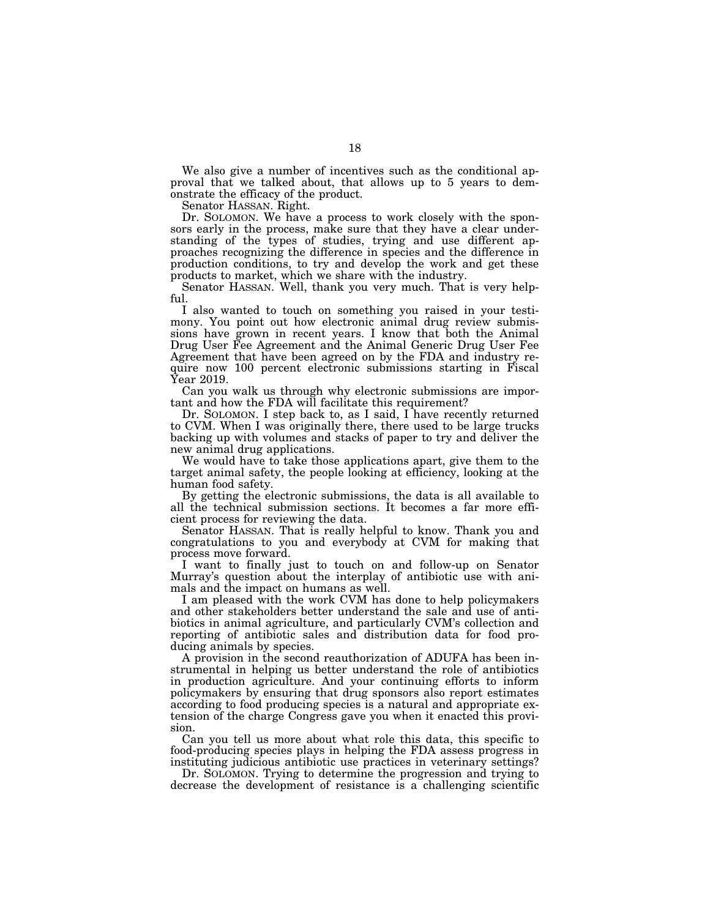We also give a number of incentives such as the conditional approval that we talked about, that allows up to 5 years to demonstrate the efficacy of the product.

Senator HASSAN. Right.

Dr. SOLOMON. We have a process to work closely with the sponsors early in the process, make sure that they have a clear understanding of the types of studies, trying and use different approaches recognizing the difference in species and the difference in production conditions, to try and develop the work and get these products to market, which we share with the industry.

Senator HASSAN. Well, thank you very much. That is very helpful.

I also wanted to touch on something you raised in your testimony. You point out how electronic animal drug review submissions have grown in recent years. I know that both the Animal Drug User Fee Agreement and the Animal Generic Drug User Fee Agreement that have been agreed on by the FDA and industry require now 100 percent electronic submissions starting in Fiscal Year 2019.

Can you walk us through why electronic submissions are important and how the FDA will facilitate this requirement?

Dr. SOLOMON. I step back to, as I said, I have recently returned to CVM. When I was originally there, there used to be large trucks backing up with volumes and stacks of paper to try and deliver the new animal drug applications.

We would have to take those applications apart, give them to the target animal safety, the people looking at efficiency, looking at the human food safety.

By getting the electronic submissions, the data is all available to all the technical submission sections. It becomes a far more efficient process for reviewing the data.

Senator HASSAN. That is really helpful to know. Thank you and congratulations to you and everybody at CVM for making that process move forward.

I want to finally just to touch on and follow-up on Senator Murray's question about the interplay of antibiotic use with animals and the impact on humans as well.

I am pleased with the work CVM has done to help policymakers and other stakeholders better understand the sale and use of antibiotics in animal agriculture, and particularly CVM's collection and reporting of antibiotic sales and distribution data for food producing animals by species.

A provision in the second reauthorization of ADUFA has been instrumental in helping us better understand the role of antibiotics in production agriculture. And your continuing efforts to inform policymakers by ensuring that drug sponsors also report estimates according to food producing species is a natural and appropriate extension of the charge Congress gave you when it enacted this provision.

Can you tell us more about what role this data, this specific to food-producing species plays in helping the FDA assess progress in instituting judicious antibiotic use practices in veterinary settings?

Dr. SOLOMON. Trying to determine the progression and trying to decrease the development of resistance is a challenging scientific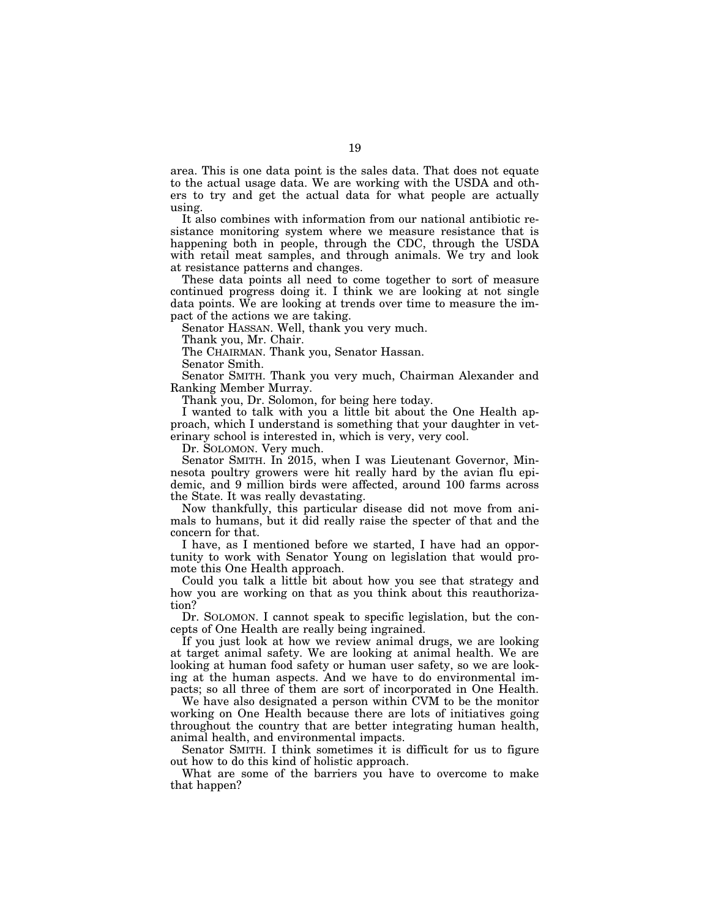area. This is one data point is the sales data. That does not equate to the actual usage data. We are working with the USDA and others to try and get the actual data for what people are actually using.

It also combines with information from our national antibiotic resistance monitoring system where we measure resistance that is happening both in people, through the CDC, through the USDA with retail meat samples, and through animals. We try and look at resistance patterns and changes.

These data points all need to come together to sort of measure continued progress doing it. I think we are looking at not single data points. We are looking at trends over time to measure the impact of the actions we are taking.

Senator HASSAN. Well, thank you very much.

Thank you, Mr. Chair.

The CHAIRMAN. Thank you, Senator Hassan.

Senator Smith.

Senator SMITH. Thank you very much, Chairman Alexander and Ranking Member Murray.

Thank you, Dr. Solomon, for being here today.

I wanted to talk with you a little bit about the One Health approach, which I understand is something that your daughter in veterinary school is interested in, which is very, very cool.

Dr. SOLOMON. Very much.

Senator SMITH. In 2015, when I was Lieutenant Governor, Minnesota poultry growers were hit really hard by the avian flu epidemic, and 9 million birds were affected, around 100 farms across the State. It was really devastating.

Now thankfully, this particular disease did not move from animals to humans, but it did really raise the specter of that and the concern for that.

I have, as I mentioned before we started, I have had an opportunity to work with Senator Young on legislation that would promote this One Health approach.

Could you talk a little bit about how you see that strategy and how you are working on that as you think about this reauthorization?

Dr. SOLOMON. I cannot speak to specific legislation, but the concepts of One Health are really being ingrained.

If you just look at how we review animal drugs, we are looking at target animal safety. We are looking at animal health. We are looking at human food safety or human user safety, so we are looking at the human aspects. And we have to do environmental impacts; so all three of them are sort of incorporated in One Health.

We have also designated a person within CVM to be the monitor working on One Health because there are lots of initiatives going throughout the country that are better integrating human health, animal health, and environmental impacts.

Senator SMITH. I think sometimes it is difficult for us to figure out how to do this kind of holistic approach.

What are some of the barriers you have to overcome to make that happen?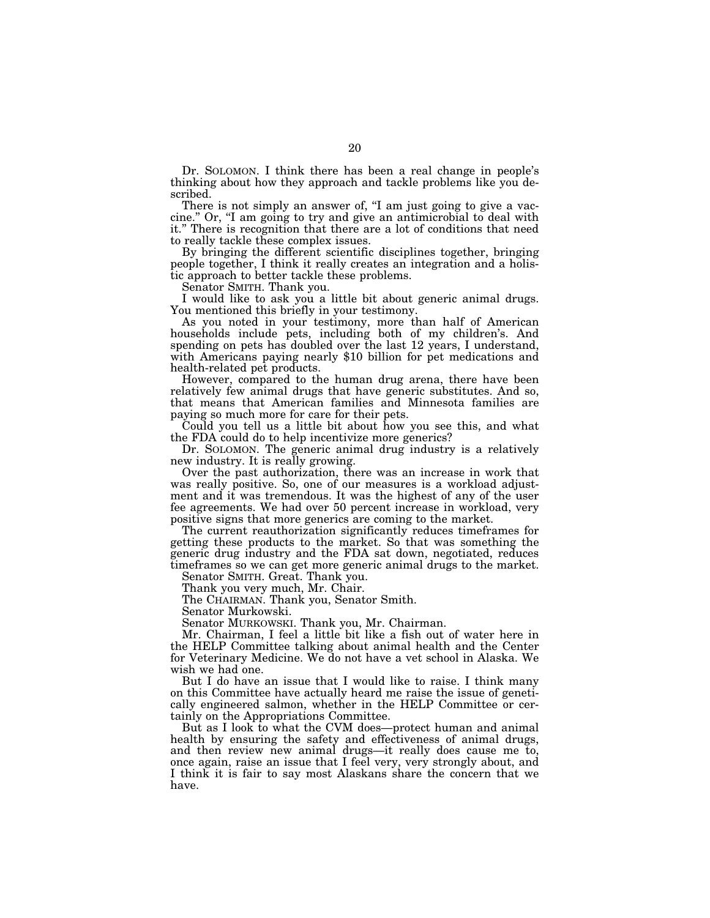Dr. SOLOMON. I think there has been a real change in people's thinking about how they approach and tackle problems like you described.

There is not simply an answer of, "I am just going to give a vaccine.'' Or, ''I am going to try and give an antimicrobial to deal with it.'' There is recognition that there are a lot of conditions that need to really tackle these complex issues.

By bringing the different scientific disciplines together, bringing people together, I think it really creates an integration and a holistic approach to better tackle these problems.

Senator SMITH. Thank you.

I would like to ask you a little bit about generic animal drugs. You mentioned this briefly in your testimony.

As you noted in your testimony, more than half of American households include pets, including both of my children's. And spending on pets has doubled over the last 12 years, I understand, with Americans paying nearly \$10 billion for pet medications and health-related pet products.

However, compared to the human drug arena, there have been relatively few animal drugs that have generic substitutes. And so, that means that American families and Minnesota families are paying so much more for care for their pets.

Could you tell us a little bit about how you see this, and what the FDA could do to help incentivize more generics?

Dr. SOLOMON. The generic animal drug industry is a relatively new industry. It is really growing.

Over the past authorization, there was an increase in work that was really positive. So, one of our measures is a workload adjustment and it was tremendous. It was the highest of any of the user fee agreements. We had over 50 percent increase in workload, very positive signs that more generics are coming to the market.

The current reauthorization significantly reduces timeframes for getting these products to the market. So that was something the generic drug industry and the FDA sat down, negotiated, reduces timeframes so we can get more generic animal drugs to the market.

Senator SMITH. Great. Thank you.

Thank you very much, Mr. Chair.

The CHAIRMAN. Thank you, Senator Smith.

Senator Murkowski.

Senator MURKOWSKI. Thank you, Mr. Chairman.

Mr. Chairman, I feel a little bit like a fish out of water here in the HELP Committee talking about animal health and the Center for Veterinary Medicine. We do not have a vet school in Alaska. We wish we had one.

But I do have an issue that I would like to raise. I think many on this Committee have actually heard me raise the issue of genetically engineered salmon, whether in the HELP Committee or certainly on the Appropriations Committee.

But as I look to what the CVM does—protect human and animal health by ensuring the safety and effectiveness of animal drugs, and then review new animal drugs—it really does cause me to, once again, raise an issue that I feel very, very strongly about, and I think it is fair to say most Alaskans share the concern that we have.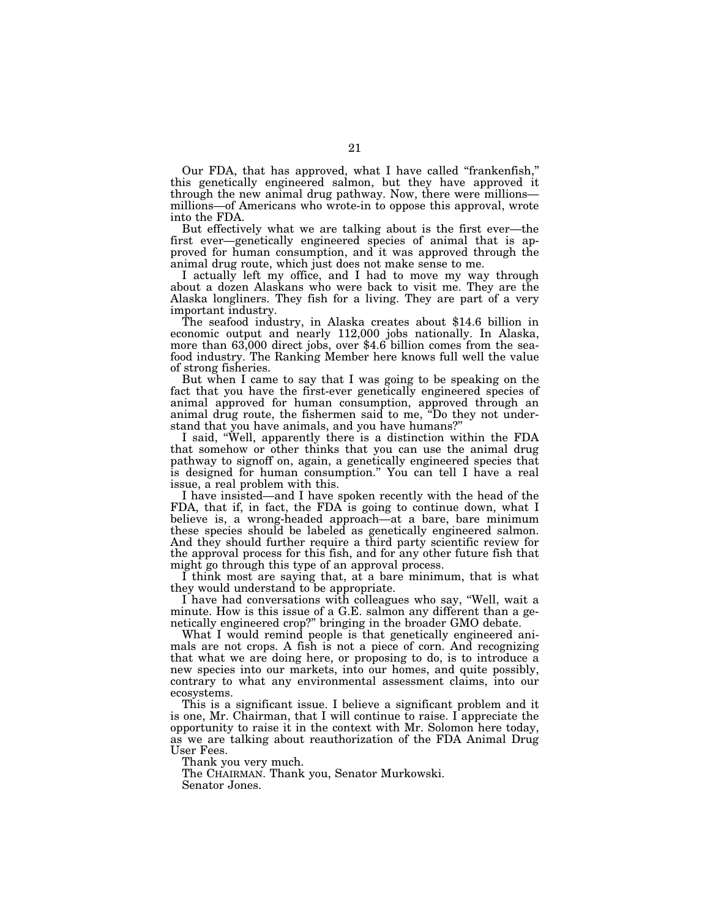Our FDA, that has approved, what I have called "frankenfish," this genetically engineered salmon, but they have approved it through the new animal drug pathway. Now, there were millions millions—of Americans who wrote-in to oppose this approval, wrote into the FDA.

But effectively what we are talking about is the first ever—the first ever—genetically engineered species of animal that is approved for human consumption, and it was approved through the animal drug route, which just does not make sense to me.

I actually left my office, and I had to move my way through about a dozen Alaskans who were back to visit me. They are the Alaska longliners. They fish for a living. They are part of a very

important industry. The seafood industry, in Alaska creates about \$14.6 billion in economic output and nearly 112,000 jobs nationally. In Alaska, more than 63,000 direct jobs, over \$4.6 billion comes from the seafood industry. The Ranking Member here knows full well the value of strong fisheries.

But when I came to say that I was going to be speaking on the fact that you have the first-ever genetically engineered species of animal approved for human consumption, approved through an animal drug route, the fishermen said to me, ''Do they not understand that you have animals, and you have humans?''

I said, ''Well, apparently there is a distinction within the FDA that somehow or other thinks that you can use the animal drug pathway to signoff on, again, a genetically engineered species that is designed for human consumption.'' You can tell I have a real issue, a real problem with this.

I have insisted—and I have spoken recently with the head of the FDA, that if, in fact, the FDA is going to continue down, what I believe is, a wrong-headed approach—at a bare, bare minimum these species should be labeled as genetically engineered salmon. And they should further require a third party scientific review for the approval process for this fish, and for any other future fish that might go through this type of an approval process.

I think most are saying that, at a bare minimum, that is what they would understand to be appropriate.

I have had conversations with colleagues who say, ''Well, wait a minute. How is this issue of a G.E. salmon any different than a genetically engineered crop?'' bringing in the broader GMO debate.

What I would remind people is that genetically engineered animals are not crops. A fish is not a piece of corn. And recognizing that what we are doing here, or proposing to do, is to introduce a new species into our markets, into our homes, and quite possibly, contrary to what any environmental assessment claims, into our ecosystems.

This is a significant issue. I believe a significant problem and it is one, Mr. Chairman, that I will continue to raise. I appreciate the opportunity to raise it in the context with Mr. Solomon here today, as we are talking about reauthorization of the FDA Animal Drug User Fees.

Thank you very much.

The CHAIRMAN. Thank you, Senator Murkowski. Senator Jones.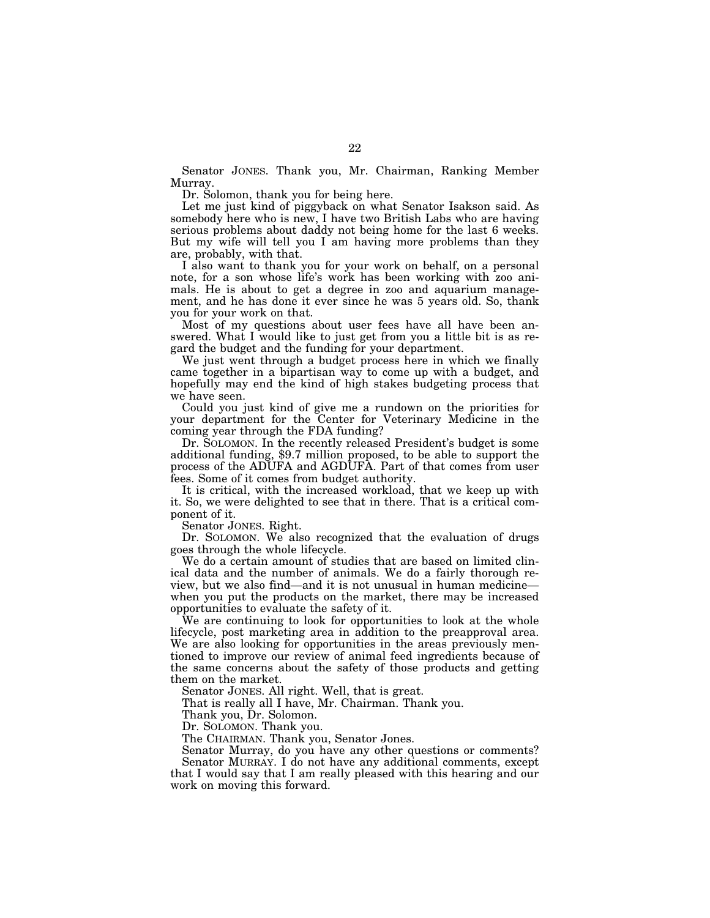Senator JONES. Thank you, Mr. Chairman, Ranking Member Murray.

Dr. Solomon, thank you for being here.

Let me just kind of piggyback on what Senator Isakson said. As somebody here who is new, I have two British Labs who are having serious problems about daddy not being home for the last 6 weeks. But my wife will tell you I am having more problems than they are, probably, with that.

I also want to thank you for your work on behalf, on a personal note, for a son whose life's work has been working with zoo animals. He is about to get a degree in zoo and aquarium management, and he has done it ever since he was 5 years old. So, thank you for your work on that.

Most of my questions about user fees have all have been answered. What I would like to just get from you a little bit is as regard the budget and the funding for your department.

We just went through a budget process here in which we finally came together in a bipartisan way to come up with a budget, and hopefully may end the kind of high stakes budgeting process that we have seen.

Could you just kind of give me a rundown on the priorities for your department for the Center for Veterinary Medicine in the coming year through the FDA funding?

Dr. SOLOMON. In the recently released President's budget is some additional funding, \$9.7 million proposed, to be able to support the process of the ADUFA and AGDUFA. Part of that comes from user fees. Some of it comes from budget authority.

It is critical, with the increased workload, that we keep up with it. So, we were delighted to see that in there. That is a critical component of it.

Senator JONES. Right.

Dr. SOLOMON. We also recognized that the evaluation of drugs goes through the whole lifecycle.

We do a certain amount of studies that are based on limited clinical data and the number of animals. We do a fairly thorough review, but we also find—and it is not unusual in human medicine when you put the products on the market, there may be increased opportunities to evaluate the safety of it.

We are continuing to look for opportunities to look at the whole lifecycle, post marketing area in addition to the preapproval area. We are also looking for opportunities in the areas previously mentioned to improve our review of animal feed ingredients because of the same concerns about the safety of those products and getting them on the market.

Senator JONES. All right. Well, that is great.

That is really all I have, Mr. Chairman. Thank you.

Thank you, Dr. Solomon.

Dr. SOLOMON. Thank you.

The CHAIRMAN. Thank you, Senator Jones.

Senator Murray, do you have any other questions or comments? Senator MURRAY. I do not have any additional comments, except that I would say that I am really pleased with this hearing and our work on moving this forward.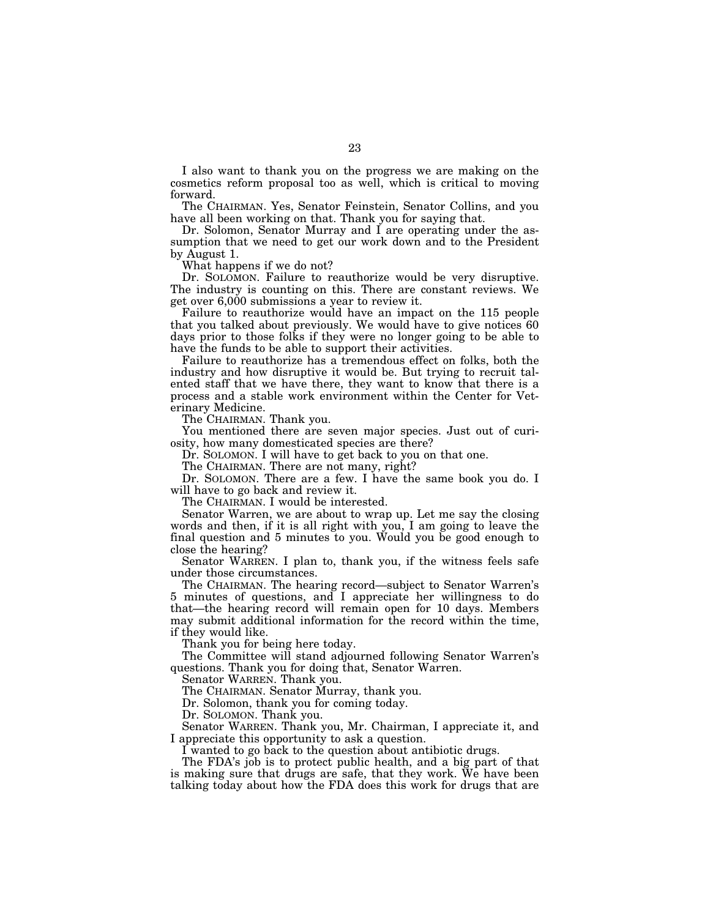I also want to thank you on the progress we are making on the cosmetics reform proposal too as well, which is critical to moving forward.

The CHAIRMAN. Yes, Senator Feinstein, Senator Collins, and you have all been working on that. Thank you for saying that.

Dr. Solomon, Senator Murray and I are operating under the assumption that we need to get our work down and to the President by August 1.

What happens if we do not?

Dr. SOLOMON. Failure to reauthorize would be very disruptive. The industry is counting on this. There are constant reviews. We get over 6,000 submissions a year to review it.

Failure to reauthorize would have an impact on the 115 people that you talked about previously. We would have to give notices 60 days prior to those folks if they were no longer going to be able to have the funds to be able to support their activities.

Failure to reauthorize has a tremendous effect on folks, both the industry and how disruptive it would be. But trying to recruit talented staff that we have there, they want to know that there is a process and a stable work environment within the Center for Veterinary Medicine.

The CHAIRMAN. Thank you.

You mentioned there are seven major species. Just out of curiosity, how many domesticated species are there?

Dr. SOLOMON. I will have to get back to you on that one.

The CHAIRMAN. There are not many, right?

Dr. SOLOMON. There are a few. I have the same book you do. I will have to go back and review it.

The CHAIRMAN. I would be interested.

Senator Warren, we are about to wrap up. Let me say the closing words and then, if it is all right with you, I am going to leave the final question and 5 minutes to you. Would you be good enough to close the hearing?

Senator WARREN. I plan to, thank you, if the witness feels safe under those circumstances.

The CHAIRMAN. The hearing record—subject to Senator Warren's 5 minutes of questions, and I appreciate her willingness to do that—the hearing record will remain open for 10 days. Members may submit additional information for the record within the time, if they would like.

Thank you for being here today.

The Committee will stand adjourned following Senator Warren's questions. Thank you for doing that, Senator Warren.

Senator WARREN. Thank you.

The CHAIRMAN. Senator Murray, thank you.

Dr. Solomon, thank you for coming today.

Dr. SOLOMON. Thank you.

Senator WARREN. Thank you, Mr. Chairman, I appreciate it, and I appreciate this opportunity to ask a question.

I wanted to go back to the question about antibiotic drugs.

The FDA's job is to protect public health, and a big part of that is making sure that drugs are safe, that they work. We have been talking today about how the FDA does this work for drugs that are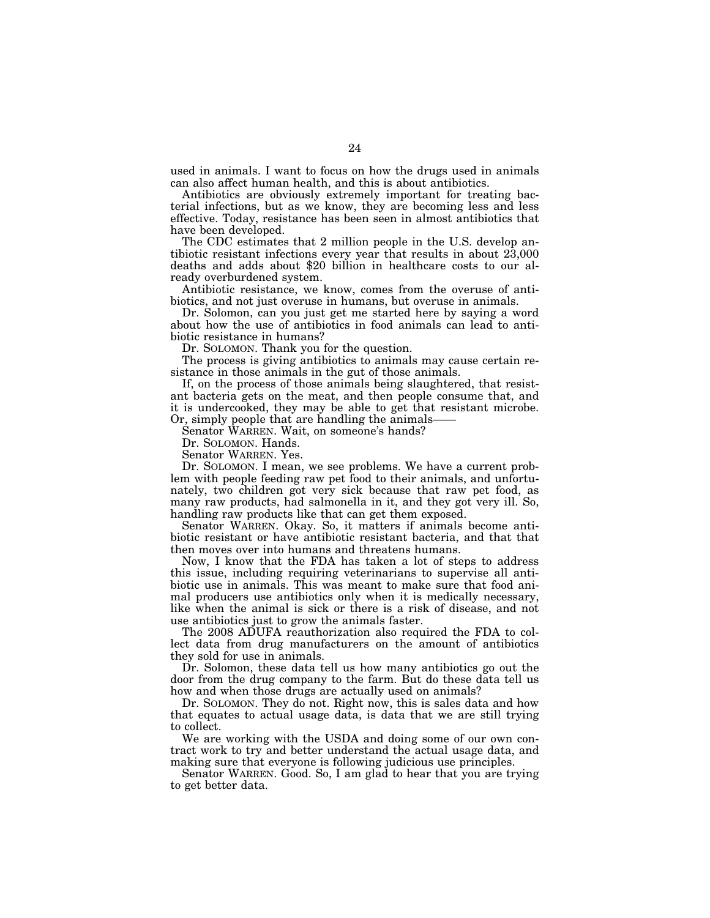used in animals. I want to focus on how the drugs used in animals can also affect human health, and this is about antibiotics.

Antibiotics are obviously extremely important for treating bacterial infections, but as we know, they are becoming less and less effective. Today, resistance has been seen in almost antibiotics that have been developed.

The CDC estimates that 2 million people in the U.S. develop antibiotic resistant infections every year that results in about 23,000 deaths and adds about \$20 billion in healthcare costs to our already overburdened system.

Antibiotic resistance, we know, comes from the overuse of antibiotics, and not just overuse in humans, but overuse in animals.

Dr. Solomon, can you just get me started here by saying a word about how the use of antibiotics in food animals can lead to antibiotic resistance in humans?

Dr. SOLOMON. Thank you for the question.

The process is giving antibiotics to animals may cause certain resistance in those animals in the gut of those animals.

If, on the process of those animals being slaughtered, that resistant bacteria gets on the meat, and then people consume that, and it is undercooked, they may be able to get that resistant microbe. Or, simply people that are handling the animals-

Senator WARREN. Wait, on someone's hands?

Dr. SOLOMON. Hands.

Senator WARREN. Yes.

Dr. SOLOMON. I mean, we see problems. We have a current problem with people feeding raw pet food to their animals, and unfortunately, two children got very sick because that raw pet food, as many raw products, had salmonella in it, and they got very ill. So, handling raw products like that can get them exposed.

Senator WARREN. Okay. So, it matters if animals become antibiotic resistant or have antibiotic resistant bacteria, and that that then moves over into humans and threatens humans.

Now, I know that the FDA has taken a lot of steps to address this issue, including requiring veterinarians to supervise all antibiotic use in animals. This was meant to make sure that food animal producers use antibiotics only when it is medically necessary, like when the animal is sick or there is a risk of disease, and not use antibiotics just to grow the animals faster.

The 2008 ADUFA reauthorization also required the FDA to collect data from drug manufacturers on the amount of antibiotics they sold for use in animals.

Dr. Solomon, these data tell us how many antibiotics go out the door from the drug company to the farm. But do these data tell us how and when those drugs are actually used on animals?

Dr. SOLOMON. They do not. Right now, this is sales data and how that equates to actual usage data, is data that we are still trying to collect.

We are working with the USDA and doing some of our own contract work to try and better understand the actual usage data, and making sure that everyone is following judicious use principles.

Senator WARREN. Good. So, I am glad to hear that you are trying to get better data.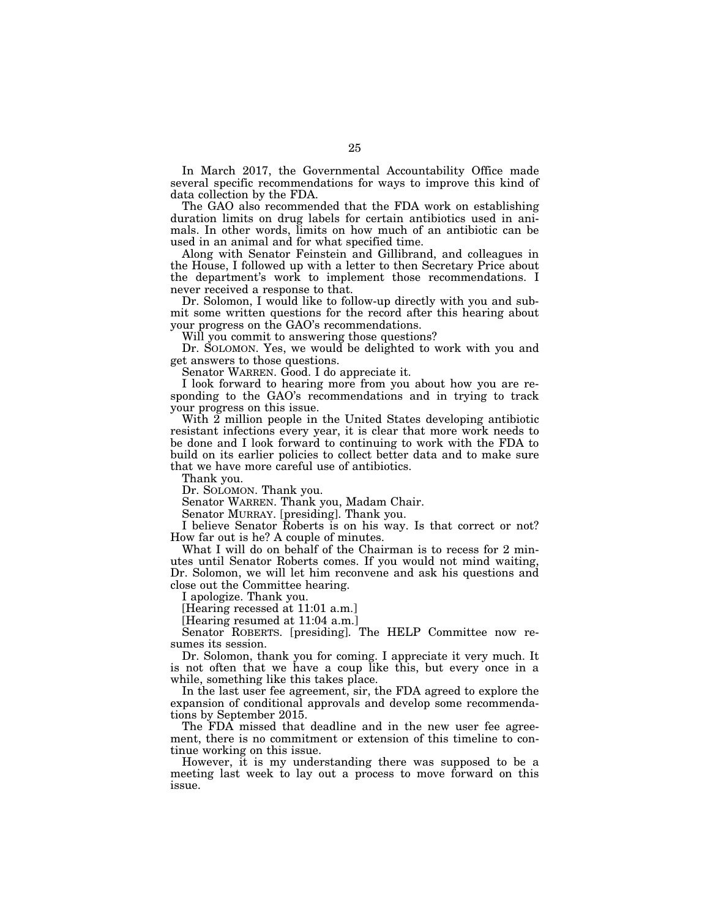In March 2017, the Governmental Accountability Office made several specific recommendations for ways to improve this kind of data collection by the FDA.

The GAO also recommended that the FDA work on establishing duration limits on drug labels for certain antibiotics used in animals. In other words, limits on how much of an antibiotic can be used in an animal and for what specified time.

Along with Senator Feinstein and Gillibrand, and colleagues in the House, I followed up with a letter to then Secretary Price about the department's work to implement those recommendations. I never received a response to that.

Dr. Solomon, I would like to follow-up directly with you and submit some written questions for the record after this hearing about your progress on the GAO's recommendations.

Will you commit to answering those questions?

Dr. SOLOMON. Yes, we would be delighted to work with you and get answers to those questions.

Senator WARREN. Good. I do appreciate it.

I look forward to hearing more from you about how you are responding to the GAO's recommendations and in trying to track your progress on this issue.

With 2 million people in the United States developing antibiotic resistant infections every year, it is clear that more work needs to be done and I look forward to continuing to work with the FDA to build on its earlier policies to collect better data and to make sure that we have more careful use of antibiotics.

Thank you.

Dr. SOLOMON. Thank you.

Senator WARREN. Thank you, Madam Chair.

Senator MURRAY. [presiding]. Thank you.

I believe Senator Roberts is on his way. Is that correct or not? How far out is he? A couple of minutes.

What I will do on behalf of the Chairman is to recess for 2 minutes until Senator Roberts comes. If you would not mind waiting, Dr. Solomon, we will let him reconvene and ask his questions and close out the Committee hearing.

I apologize. Thank you.

[Hearing recessed at 11:01 a.m.]

[Hearing resumed at 11:04 a.m.]

Senator ROBERTS. [presiding]. The HELP Committee now resumes its session.

Dr. Solomon, thank you for coming. I appreciate it very much. It is not often that we have a coup like this, but every once in a while, something like this takes place.

In the last user fee agreement, sir, the FDA agreed to explore the expansion of conditional approvals and develop some recommendations by September 2015.

The FDA missed that deadline and in the new user fee agreement, there is no commitment or extension of this timeline to continue working on this issue.

However, it is my understanding there was supposed to be a meeting last week to lay out a process to move forward on this issue.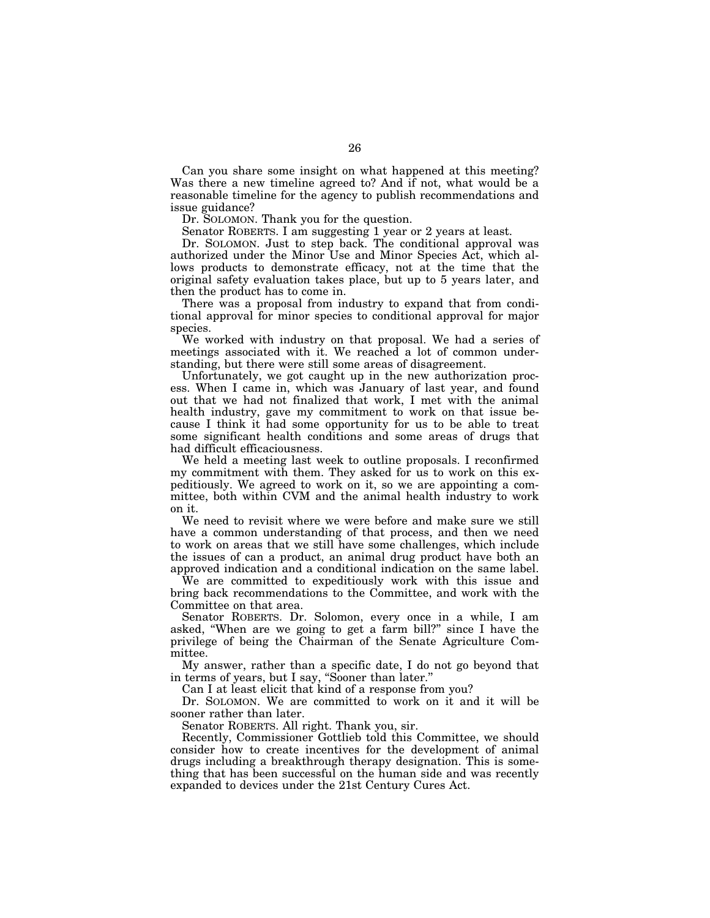Can you share some insight on what happened at this meeting? Was there a new timeline agreed to? And if not, what would be a reasonable timeline for the agency to publish recommendations and issue guidance?

Dr. SOLOMON. Thank you for the question.

Senator ROBERTS. I am suggesting 1 year or 2 years at least.

Dr. SOLOMON. Just to step back. The conditional approval was authorized under the Minor Use and Minor Species Act, which allows products to demonstrate efficacy, not at the time that the original safety evaluation takes place, but up to 5 years later, and then the product has to come in.

There was a proposal from industry to expand that from conditional approval for minor species to conditional approval for major species.

We worked with industry on that proposal. We had a series of meetings associated with it. We reached a lot of common understanding, but there were still some areas of disagreement.

Unfortunately, we got caught up in the new authorization process. When I came in, which was January of last year, and found out that we had not finalized that work, I met with the animal health industry, gave my commitment to work on that issue because I think it had some opportunity for us to be able to treat some significant health conditions and some areas of drugs that had difficult efficaciousness.

We held a meeting last week to outline proposals. I reconfirmed my commitment with them. They asked for us to work on this expeditiously. We agreed to work on it, so we are appointing a committee, both within CVM and the animal health industry to work on it.

We need to revisit where we were before and make sure we still have a common understanding of that process, and then we need to work on areas that we still have some challenges, which include the issues of can a product, an animal drug product have both an approved indication and a conditional indication on the same label.

We are committed to expeditiously work with this issue and bring back recommendations to the Committee, and work with the Committee on that area.

Senator ROBERTS. Dr. Solomon, every once in a while, I am asked, ''When are we going to get a farm bill?'' since I have the privilege of being the Chairman of the Senate Agriculture Committee.

My answer, rather than a specific date, I do not go beyond that in terms of years, but I say, "Sooner than later."

Can I at least elicit that kind of a response from you?

Dr. SOLOMON. We are committed to work on it and it will be sooner rather than later.

Senator ROBERTS. All right. Thank you, sir.

Recently, Commissioner Gottlieb told this Committee, we should consider how to create incentives for the development of animal drugs including a breakthrough therapy designation. This is something that has been successful on the human side and was recently expanded to devices under the 21st Century Cures Act.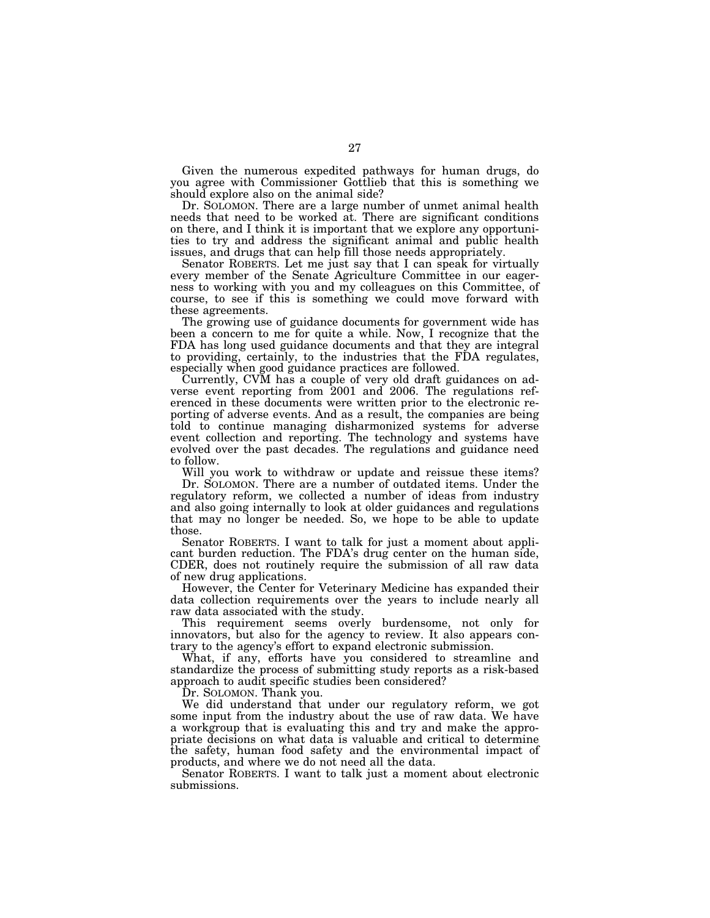Given the numerous expedited pathways for human drugs, do you agree with Commissioner Gottlieb that this is something we should explore also on the animal side?

Dr. SOLOMON. There are a large number of unmet animal health needs that need to be worked at. There are significant conditions on there, and I think it is important that we explore any opportunities to try and address the significant animal and public health issues, and drugs that can help fill those needs appropriately.

Senator ROBERTS. Let me just say that I can speak for virtually every member of the Senate Agriculture Committee in our eagerness to working with you and my colleagues on this Committee, of course, to see if this is something we could move forward with these agreements.

The growing use of guidance documents for government wide has been a concern to me for quite a while. Now, I recognize that the FDA has long used guidance documents and that they are integral to providing, certainly, to the industries that the FDA regulates, especially when good guidance practices are followed.

Currently, CVM has a couple of very old draft guidances on adverse event reporting from 2001 and 2006. The regulations referenced in these documents were written prior to the electronic reporting of adverse events. And as a result, the companies are being told to continue managing disharmonized systems for adverse event collection and reporting. The technology and systems have evolved over the past decades. The regulations and guidance need to follow.

Will you work to withdraw or update and reissue these items?

Dr. SOLOMON. There are a number of outdated items. Under the regulatory reform, we collected a number of ideas from industry and also going internally to look at older guidances and regulations that may no longer be needed. So, we hope to be able to update those.

Senator ROBERTS. I want to talk for just a moment about applicant burden reduction. The FDA's drug center on the human side, CDER, does not routinely require the submission of all raw data of new drug applications.

However, the Center for Veterinary Medicine has expanded their data collection requirements over the years to include nearly all raw data associated with the study.

This requirement seems overly burdensome, not only for innovators, but also for the agency to review. It also appears contrary to the agency's effort to expand electronic submission.

What, if any, efforts have you considered to streamline and standardize the process of submitting study reports as a risk-based approach to audit specific studies been considered?

Dr. SOLOMON. Thank you.

We did understand that under our regulatory reform, we got some input from the industry about the use of raw data. We have a workgroup that is evaluating this and try and make the appropriate decisions on what data is valuable and critical to determine the safety, human food safety and the environmental impact of products, and where we do not need all the data.

Senator ROBERTS. I want to talk just a moment about electronic submissions.